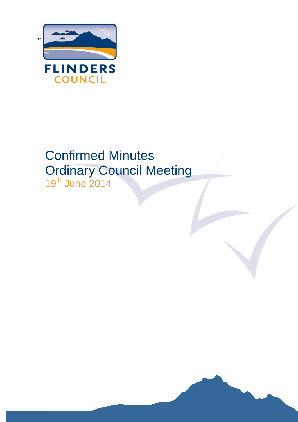<span id="page-0-0"></span>

# Confirmed Minutes Ordinary Council Meeting 19th June 2014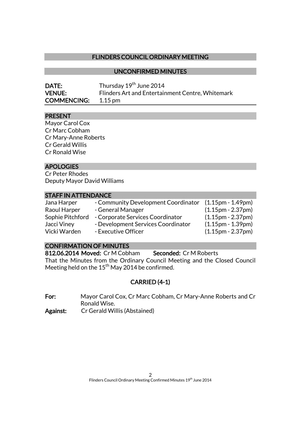## FLINDERS COUNCIL ORDINARY MEETING

### UNCONFIRMED MINUTES

| <b>DATE:</b>       | Thursday 19 <sup>th</sup> June 2014              |
|--------------------|--------------------------------------------------|
| <b>VENUE:</b>      | Flinders Art and Entertainment Centre, Whitemark |
| <b>COMMENCING:</b> | $1.15 \,\mathrm{pm}$                             |

### PRESENT

Mayor Carol Cox Cr Marc Cobham Cr Mary-Anne Roberts Cr Gerald Willis Cr Ronald Wise

### **APOLOGIES**

Cr Peter Rhodes Deputy Mayor David Williams

## STAFF IN ATTENDANCE

| Jana Harper      | - Community Development Coordinator | $(1.15pm - 1.49pm)$                 |
|------------------|-------------------------------------|-------------------------------------|
| Raoul Harper     | - General Manager                   | $(1.15pm - 2.37pm)$                 |
| Sophie Pitchford | - Corporate Services Coordinator    | $(1.15pm - 2.37pm)$                 |
| Jacci Viney      | - Development Services Coordinator  | $(1.15pm - 1.39pm)$                 |
| Vicki Warden     | - Executive Officer                 | $(1.15 \text{pm} - 2.37 \text{pm})$ |

## CONFIRMATION OF MINUTES

812.06.2014 Moved: Cr M Cobham Seconded: Cr M Roberts That the Minutes from the Ordinary Council Meeting and the Closed Council Meeting held on the  $15^{th}$  May 2014 be confirmed.

## CARRIED (4-1)

For: Mayor Carol Cox, Cr Marc Cobham, Cr Mary-Anne Roberts and Cr Ronald Wise.

Against: Cr Gerald Willis (Abstained)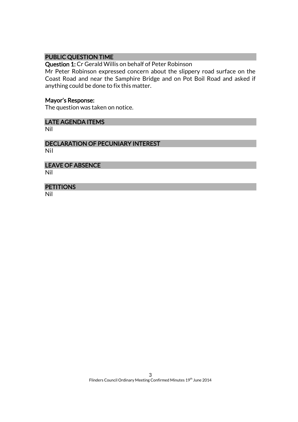## PUBLIC QUESTION TIME

Question 1: Cr Gerald Willis on behalf of Peter Robinson

Mr Peter Robinson expressed concern about the slippery road surface on the Coast Road and near the Samphire Bridge and on Pot Boil Road and asked if anything could be done to fix this matter.

### Mayor's Response:

The question was taken on notice.

### LATE AGENDA ITEMS

Nil

## DECLARATION OF PECUNIARY INTEREST

Nil

#### LEAVE OF ABSENCE

Nil

## **PETITIONS**

Nil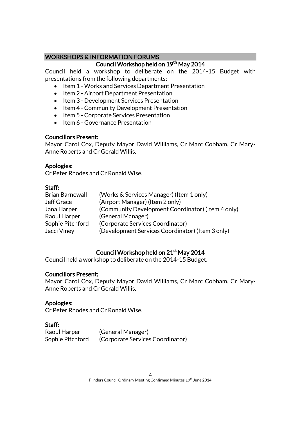## WORKSHOPS & INFORMATION FORUMS

## Council Workshop held on 19<sup>th</sup> May 2014

Council held a workshop to deliberate on the 2014-15 Budget with presentations from the following departments:

- Item 1 Works and Services Department Presentation
- Item 2 Airport Department Presentation
- Item 3 Development Services Presentation
- Item 4 Community Development Presentation
- Item 5 Corporate Services Presentation
- Item 6 Governance Presentation

## Councillors Present:

Mayor Carol Cox, Deputy Mayor David Williams, Cr Marc Cobham, Cr Mary-Anne Roberts and Cr Gerald Willis.

## Apologies:

Cr Peter Rhodes and Cr Ronald Wise.

## Staff:

| <b>Brian Barnewall</b> | (Works & Services Manager) (Item 1 only)          |
|------------------------|---------------------------------------------------|
| <b>Jeff Grace</b>      | (Airport Manager) (Item 2 only)                   |
| Jana Harper            | (Community Development Coordinator) (Item 4 only) |
| Raoul Harper           | (General Manager)                                 |
| Sophie Pitchford       | (Corporate Services Coordinator)                  |
| Jacci Viney            | (Development Services Coordinator) (Item 3 only)  |

## Council Workshop held on 21<sup>st</sup> May 2014

Council held a workshop to deliberate on the 2014-15 Budget.

## Councillors Present:

Mayor Carol Cox, Deputy Mayor David Williams, Cr Marc Cobham, Cr Mary-Anne Roberts and Cr Gerald Willis.

## Apologies:

Cr Peter Rhodes and Cr Ronald Wise.

## Staff:

Raoul Harper (General Manager) Sophie Pitchford (Corporate Services Coordinator)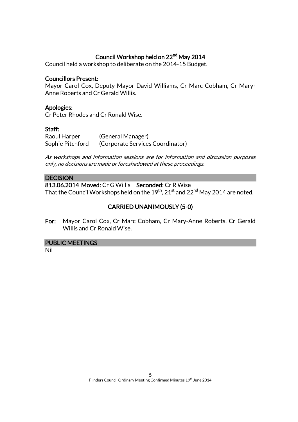## Council Workshop held on 22<sup>nd</sup> May 2014

Council held a workshop to deliberate on the 2014-15 Budget.

### Councillors Present:

Mayor Carol Cox, Deputy Mayor David Williams, Cr Marc Cobham, Cr Mary-Anne Roberts and Cr Gerald Willis.

### Apologies:

Cr Peter Rhodes and Cr Ronald Wise.

### Staff:

Raoul Harper (General Manager) Sophie Pitchford (Corporate Services Coordinator)

As workshops and information sessions are for information and discussion purposes only, no decisions are made or foreshadowed at these proceedings.

### **DECISION**

813.06.2014 Moved: Cr G Willis Seconded: Cr R Wise That the Council Workshops held on the  $19^{th}$ ,  $21^{st}$  and  $22^{nd}$  May 2014 are noted.

## CARRIED UNANIMOUSLY (5-0)

For: Mayor Carol Cox, Cr Marc Cobham, Cr Mary-Anne Roberts, Cr Gerald Willis and Cr Ronald Wise.

### PUBLIC MEETINGS

Nil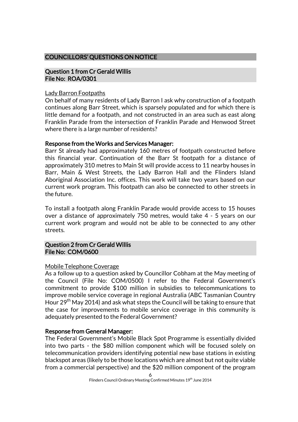## COUNCILLORS' QUESTIONS ON NOTICE

### Question 1 from Cr Gerald Willis File No: ROA/0301

### Lady Barron Footpaths

On behalf of many residents of Lady Barron I ask why construction of a footpath continues along Barr Street, which is sparsely populated and for which there is little demand for a footpath, and not constructed in an area such as east along Franklin Parade from the intersection of Franklin Parade and Henwood Street where there is a large number of residents?

### Response from the Works and Services Manager:

Barr St already had approximately 160 metres of footpath constructed before this financial year. Continuation of the Barr St footpath for a distance of approximately 310 metres to Main St will provide access to 11 nearby houses in Barr, Main & West Streets, the Lady Barron Hall and the Flinders Island Aboriginal Association Inc. offices. This work will take two years based on our current work program. This footpath can also be connected to other streets in the future.

To install a footpath along Franklin Parade would provide access to 15 houses over a distance of approximately 750 metres, would take 4 - 5 years on our current work program and would not be able to be connected to any other streets.

### Question 2 from Cr Gerald Willis File No: COM/0600

### Mobile Telephone Coverage

As a follow up to a question asked by Councillor Cobham at the May meeting of the Council (File No: COM/0500) I refer to the Federal Government's commitment to provide \$100 million in subsidies to telecommunications to improve mobile service coverage in regional Australia (ABC Tasmanian Country Hour 29<sup>th</sup> May 2014) and ask what steps the Council will be taking to ensure that the case for improvements to mobile service coverage in this community is adequately presented to the Federal Government?

### Response from General Manager:

The Federal Government's Mobile Black Spot Programme is essentially divided into two parts - the \$80 million component which will be focused solely on telecommunication providers identifying potential new base stations in existing blackspot areas (likely to be those locations which are almost but not quite viable from a commercial perspective) and the \$20 million component of the program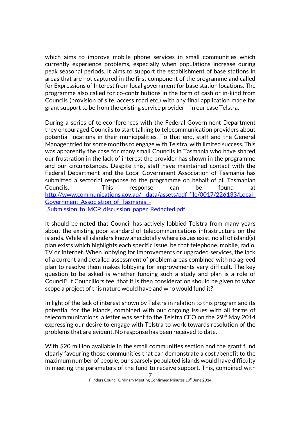which aims to improve mobile phone services in small communities which currently experience problems, especially when populations increase during peak seasonal periods. It aims to support the establishment of base stations in areas that are not captured in the first component of the programme and called for Expressions of Interest from local government for base station locations. The programme also called for co-contributions in the form of cash or in-kind from Councils (provision of site, access road etc.) with any final application made for grant support to be from the existing service provider – in our case Telstra.

During a series of teleconferences with the Federal Government Department they encouraged Councils to start talking to telecommunication providers about potential locations in their municipalities. To that end, staff and the General Manager tried for some months to engage with Telstra, with limited success. This was apparently the case for many small Councils in Tasmania who have shared our frustration in the lack of interest the provider has shown in the programme and our circumstances. Despite this, staff have maintained contact with the Federal Department and the Local Government Association of Tasmania has submitted a sectorial response to the programme on behalf of all Tasmanian Councils. This response can be found at http://www.communications.gov.au/\_data/assets/pdf\_file/0017/226133/Local Government Association of Tasmania -Submission to MCP discussion paper Redacted.pdf .

It should be noted that Council has actively lobbied Telstra from many years about the existing poor standard of telecommunications infrastructure on the islands. While all islanders know anecdotally where issues exist, no all of island(s) plan exists which highlights each specific issue, be that telephone, mobile, radio, TV or internet. When lobbying for improvements or upgraded services, the lack of a current and detailed assessment of problem areas combined with no agreed plan to resolve them makes lobbying for improvements very difficult. The key question to be asked is whether funding such a study and plan is a role of Council? If Councillors feel that it is then consideration should be given to what scope a project of this nature would have and who would fund it?

In light of the lack of interest shown by Telstra in relation to this program and its potential for the islands, combined with our ongoing issues with all forms of telecommunications, a letter was sent to the Telstra CEO on the 29<sup>th</sup> May 2014 expressing our desire to engage with Telstra to work towards resolution of the problems that are evident. No response has been received to date.

With \$20 million available in the small communities section and the grant fund clearly favouring those communities that can demonstrate a cost /benefit to the maximum number of people, our sparsely populated islands would have difficulty in meeting the parameters of the fund to receive support. This, combined with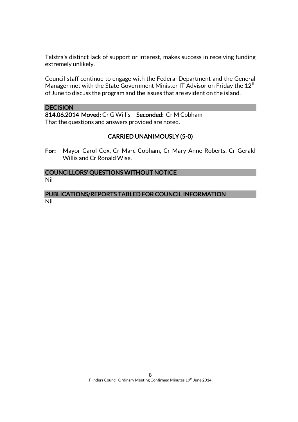Telstra's distinct lack of support or interest, makes success in receiving funding extremely unlikely.

Council staff continue to engage with the Federal Department and the General Manager met with the State Government Minister IT Advisor on Friday the 12<sup>th</sup> of June to discuss the program and the issues that are evident on the island.

### **DECISION**

814.06.2014 Moved: Cr G Willis Seconded: Cr M Cobham That the questions and answers provided are noted.

### CARRIED UNANIMOUSLY (5-0)

For: Mayor Carol Cox, Cr Marc Cobham, Cr Mary-Anne Roberts, Cr Gerald Willis and Cr Ronald Wise.

### COUNCILLORS' QUESTIONS WITHOUT NOTICE Nil

PUBLICATIONS/REPORTS TABLED FOR COUNCIL INFORMATION Nil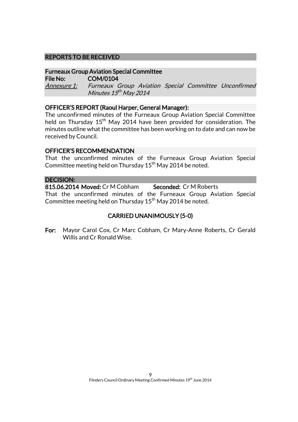### REPORTS TO BE RECEIVED

### Furneaux Group Aviation Special Committee

File No: COM/0104 Annexure 1: Furneaux Group Aviation Special Committee Unconfirmed Minutes 15<sup>th</sup> May 2014

### OFFICER'S REPORT (Raoul Harper, General Manager):

The unconfirmed minutes of the Furneaux Group Aviation Special Committee held on Thursday  $15<sup>th</sup>$  May 2014 have been provided for consideration. The minutes outline what the committee has been working on to date and can now be received by Council.

### OFFICER'S RECOMMENDATION

That the unconfirmed minutes of the Furneaux Group Aviation Special Committee meeting held on Thursday  $15<sup>th</sup>$  May 2014 be noted.

### DECISION:

815.06.2014 Moved: Cr M Cobham Seconded: Cr M Roberts That the unconfirmed minutes of the Furneaux Group Aviation Special Committee meeting held on Thursday 15<sup>th</sup> May 2014 be noted.

## CARRIED UNANIMOUSLY (5-0)

For: Mayor Carol Cox, Cr Marc Cobham, Cr Mary-Anne Roberts, Cr Gerald Willis and Cr Ronald Wise.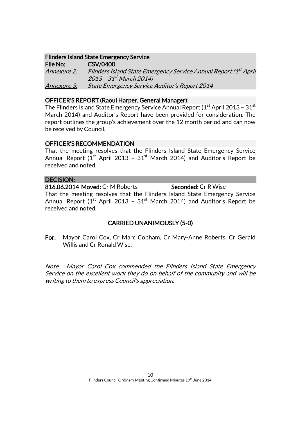## Flinders Island State Emergency Service

File No: CSV/0400 <u>Annexure 2:</u> Flinders Island State Emergency Service Annual Report (1<sup>st</sup> April 2013 – 31<sup>st</sup> March 2014) Annexure 3: State Emergency Service Auditor's Report 2014

### OFFICER'S REPORT (Raoul Harper, General Manager):

The Flinders Island State Emergency Service Annual Report ( $1<sup>st</sup>$  April 2013 – 31 $<sup>st</sup>$ </sup> March 2014) and Auditor's Report have been provided for consideration. The report outlines the group's achievement over the 12 month period and can now be received by Council.

### OFFICER'S RECOMMENDATION

That the meeting resolves that the Flinders Island State Emergency Service Annual Report ( $1<sup>st</sup>$  April 2013 –  $31<sup>st</sup>$  March 2014) and Auditor's Report be received and noted.

## DECISION:

816.06.2014 Moved: Cr M Roberts Seconded: Cr R Wise That the meeting resolves that the Flinders Island State Emergency Service Annual Report  $(1^{\text{st}}$  April 2013 -  $31^{\text{st}}$  March 2014) and Auditor's Report be received and noted.

## CARRIED UNANIMOUSLY (5-0)

For: Mayor Carol Cox, Cr Marc Cobham, Cr Mary-Anne Roberts, Cr Gerald Willis and Cr Ronald Wise.

Note: Mayor Carol Cox commended the Flinders Island State Emergency Service on the excellent work they do on behalf of the community and will be writing to them to express Council's appreciation.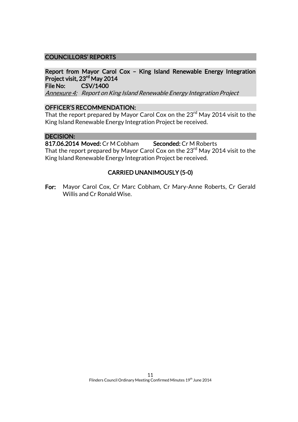## COUNCILLORS' REPORTS

## Report from Mayor Carol Cox – King Island Renewable Energy Integration Project visit, 23rd May 2014

File No: CSV/1400

Annexure 4: Report on King Island Renewable Energy Integration Project

### OFFICER'S RECOMMENDATION:

That the report prepared by Mayor Carol Cox on the 23<sup>rd</sup> May 2014 visit to the King Island Renewable Energy Integration Project be received.

### DECISION:

817.06.2014 Moved: Cr M Cobham Seconded: Cr M Roberts

That the report prepared by Mayor Carol Cox on the  $23<sup>rd</sup>$  May 2014 visit to the King Island Renewable Energy Integration Project be received.

### CARRIED UNANIMOUSLY (5-0)

For: Mayor Carol Cox, Cr Marc Cobham, Cr Mary-Anne Roberts, Cr Gerald Willis and Cr Ronald Wise.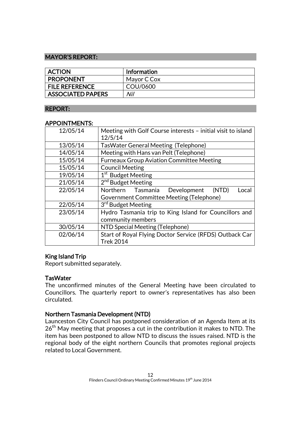### MAYOR'S REPORT:

| <b>ACTION</b>            | <b>Information</b> |
|--------------------------|--------------------|
| <b>PROPONENT</b>         | Mayor C Cox        |
| <b>FILE REFERENCE</b>    | COU/0600           |
| <b>ASSOCIATED PAPERS</b> | Nil                |

### REPORT:

### APPOINTMENTS:

| 12/05/14 | Meeting with Golf Course interests - initial visit to island<br>12/5/14 |  |
|----------|-------------------------------------------------------------------------|--|
| 13/05/14 | <b>TasWater General Meeting (Telephone)</b>                             |  |
| 14/05/14 | Meeting with Hans van Pelt (Telephone)                                  |  |
| 15/05/14 | <b>Furneaux Group Aviation Committee Meeting</b>                        |  |
| 15/05/14 | <b>Council Meeting</b>                                                  |  |
| 19/05/14 | 1 <sup>st</sup> Budget Meeting                                          |  |
| 21/05/14 | 2 <sup>nd</sup> Budget Meeting                                          |  |
| 22/05/14 | Northern Tasmania<br>Development<br>(NTD)<br>Local                      |  |
|          | Government Committee Meeting (Telephone)                                |  |
| 22/05/14 | 3 <sup>rd</sup> Budget Meeting                                          |  |
| 23/05/14 | Hydro Tasmania trip to King Island for Councillors and                  |  |
|          | community members                                                       |  |
| 30/05/14 | NTD Special Meeting (Telephone)                                         |  |
| 02/06/14 | Start of Royal Flying Doctor Service (RFDS) Outback Car                 |  |
|          | <b>Trek 2014</b>                                                        |  |

## King Island Trip

Report submitted separately.

### **TasWater**

The unconfirmed minutes of the General Meeting have been circulated to Councillors. The quarterly report to owner's representatives has also been circulated.

## Northern Tasmania Development (NTD)

Launceston City Council has postponed consideration of an Agenda Item at its 26<sup>th</sup> May meeting that proposes a cut in the contribution it makes to NTD. The item has been postponed to allow NTD to discuss the issues raised. NTD is the regional body of the eight northern Councils that promotes regional projects related to Local Government.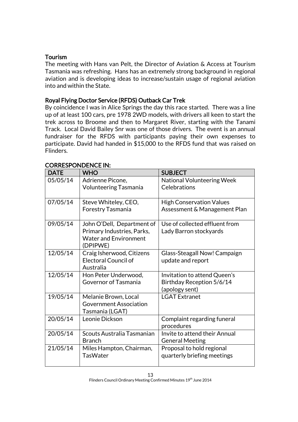## Tourism

The meeting with Hans van Pelt, the Director of Aviation & Access at Tourism Tasmania was refreshing. Hans has an extremely strong background in regional aviation and is developing ideas to increase/sustain usage of regional aviation into and within the State.

## Royal Flying Doctor Service (RFDS) Outback Car Trek

By coincidence I was in Alice Springs the day this race started. There was a line up of at least 100 cars, pre 1978 2WD models, with drivers all keen to start the trek across to Broome and then to Margaret River, starting with the Tanami Track. Local David Bailey Snr was one of those drivers. The event is an annual fundraiser for the RFDS with participants paying their own expenses to participate. David had handed in \$15,000 to the RFDS fund that was raised on Flinders.

| <b>DATE</b> | <b>WHO</b>                                                                                           | <b>SUBJECT</b>                                                              |
|-------------|------------------------------------------------------------------------------------------------------|-----------------------------------------------------------------------------|
| 05/05/14    | Adrienne Picone,<br><b>Volunteering Tasmania</b>                                                     | <b>National Volunteering Week</b><br>Celebrations                           |
| 07/05/14    | Steve Whiteley, CEO,<br>Forestry Tasmania                                                            | <b>High Conservation Values</b><br>Assessment & Management Plan             |
| 09/05/14    | John O'Dell, Department of<br>Primary Industries, Parks,<br><b>Water and Environment</b><br>(DPIPWE) | Use of collected effluent from<br>Lady Barron stockyards                    |
| 12/05/14    | Craig Isherwood, Citizens<br><b>Electoral Council of</b><br>Australia                                | Glass-Steagall Now! Campaign<br>update and report                           |
| 12/05/14    | Hon Peter Underwood,<br>Governor of Tasmania                                                         | Invitation to attend Queen's<br>Birthday Reception 5/6/14<br>(apology sent) |
| 19/05/14    | Melanie Brown, Local<br><b>Government Association</b><br>Tasmania (LGAT)                             | <b>LGAT Extranet</b>                                                        |
| 20/05/14    | Leonie Dickson                                                                                       | Complaint regarding funeral<br>procedures                                   |
| 20/05/14    | Scouts Australia Tasmanian<br><b>Branch</b>                                                          | Invite to attend their Annual<br><b>General Meeting</b>                     |
| 21/05/14    | Miles Hampton, Chairman,<br><b>TasWater</b>                                                          | Proposal to hold regional<br>quarterly briefing meetings                    |

### CORRESPONDENCE IN: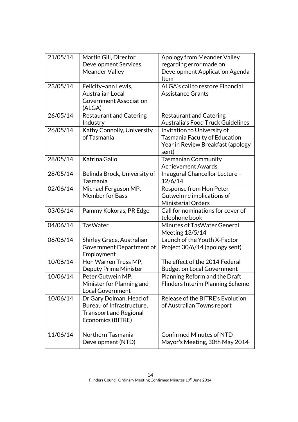| 21/05/14 | Martin Gill, Director<br><b>Development Services</b><br><b>Meander Valley</b>                              | Apology from Meander Valley<br>regarding error made on<br>Development Application Agenda<br>Item           |
|----------|------------------------------------------------------------------------------------------------------------|------------------------------------------------------------------------------------------------------------|
| 23/05/14 | Felicity-ann Lewis,<br><b>Australian Local</b><br><b>Government Association</b><br>(ALGA)                  | ALGA's call to restore Financial<br><b>Assistance Grants</b>                                               |
| 26/05/14 | <b>Restaurant and Catering</b><br>Industry                                                                 | <b>Restaurant and Catering</b><br>Australia's Food Truck Guidelines                                        |
| 26/05/14 | Kathy Connolly, University<br>of Tasmania                                                                  | Invitation to University of<br>Tasmania Faculty of Education<br>Year in Review Breakfast (apology<br>sent) |
| 28/05/14 | Katrina Gallo                                                                                              | <b>Tasmanian Community</b><br><b>Achievement Awards</b>                                                    |
| 28/05/14 | Belinda Brock, University of<br>Tasmania                                                                   | Inaugural Chancellor Lecture -<br>12/6/14                                                                  |
| 02/06/14 | Michael Ferguson MP,<br><b>Member for Bass</b>                                                             | Response from Hon Peter<br>Gutwein re implications of<br><b>Ministerial Orders</b>                         |
| 03/06/14 | Pammy Kokoras, PR Edge                                                                                     | Call for nominations for cover of<br>telephone book                                                        |
| 04/06/14 | <b>TasWater</b>                                                                                            | Minutes of TasWater General<br>Meeting 13/5/14                                                             |
| 06/06/14 | Shirley Grace, Australian<br>Government Department of<br>Employment                                        | Launch of the Youth X-Factor<br>Project 30/6/14 (apology sent)                                             |
| 10/06/14 | Hon Warren Truss MP,<br><b>Deputy Prime Minister</b>                                                       | The effect of the 2014 Federal<br><b>Budget on Local Government</b>                                        |
| 10/06/14 | Peter Gutwein MP,<br>Minister for Planning and<br><b>Local Government</b>                                  | Planning Reform and the Draft<br><b>Flinders Interim Planning Scheme</b>                                   |
| 10/06/14 | Dr Gary Dolman, Head of<br>Bureau of Infrastructure,<br><b>Transport and Regional</b><br>Economics (BITRE) | Release of the BITRE's Evolution<br>of Australian Towns report                                             |
| 11/06/14 | Northern Tasmania<br>Development (NTD)                                                                     | <b>Confirmed Minutes of NTD</b><br>Mayor's Meeting, 30th May 2014                                          |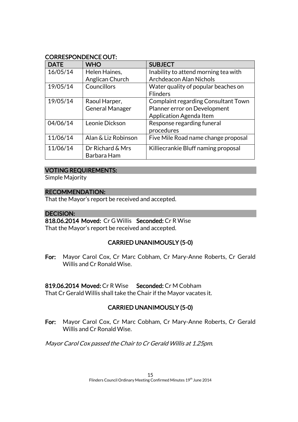## CORRESPONDENCE OUT:

| <b>DATE</b> | <b>WHO</b>             | <b>SUBJECT</b>                             |
|-------------|------------------------|--------------------------------------------|
| 16/05/14    | Helen Haines,          | Inability to attend morning tea with       |
|             | Anglican Church        | <b>Archdeacon Alan Nichols</b>             |
| 19/05/14    | Councillors            | Water quality of popular beaches on        |
|             |                        | <b>Flinders</b>                            |
| 19/05/14    | Raoul Harper,          | <b>Complaint regarding Consultant Town</b> |
|             | <b>General Manager</b> | Planner error on Development               |
|             |                        | Application Agenda Item                    |
| 04/06/14    | Leonie Dickson         | Response regarding funeral                 |
|             |                        | procedures                                 |
| 11/06/14    | Alan & Liz Robinson    | Five Mile Road name change proposal        |
| 11/06/14    | Dr Richard & Mrs       | Killiecrankie Bluff naming proposal        |
|             | Barbara Ham            |                                            |

### VOTING REQUIREMENTS:

Simple Majority

### RECOMMENDATION:

That the Mayor's report be received and accepted.

### DECISION:

818.06.2014 Moved: Cr G Willis Seconded: Cr R Wise That the Mayor's report be received and accepted.

## CARRIED UNANIMOUSLY (5-0)

For: Mayor Carol Cox, Cr Marc Cobham, Cr Mary-Anne Roberts, Cr Gerald Willis and Cr Ronald Wise.

## 819.06.2014 Moved: Cr R Wise Seconded: Cr M Cobham

That Cr Gerald Willis shall take the Chair if the Mayor vacates it.

## CARRIED UNANIMOUSLY (5-0)

For: Mayor Carol Cox, Cr Marc Cobham, Cr Mary-Anne Roberts, Cr Gerald Willis and Cr Ronald Wise.

Mayor Carol Cox passed the Chair to Cr Gerald Willis at 1.25pm.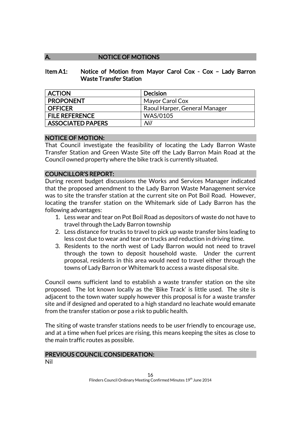## A. NOTICE OF MOTIONS

### Item A1: Notice of Motion from Mayor Carol Cox - Cox – Lady Barron Waste Transfer Station

| <b>ACTION</b>            | <b>Decision</b>               |
|--------------------------|-------------------------------|
| <b>PROPONENT</b>         | Mayor Carol Cox               |
| <b>OFFICER</b>           | Raoul Harper, General Manager |
| <b>FILE REFERENCE</b>    | <b>WAS/0105</b>               |
| <b>ASSOCIATED PAPERS</b> | Nil                           |

## NOTICE OF MOTION:

That Council investigate the feasibility of locating the Lady Barron Waste Transfer Station and Green Waste Site off the Lady Barron Main Road at the Council owned property where the bike track is currently situated.

### COUNCILLOR'S REPORT:

During recent budget discussions the Works and Services Manager indicated that the proposed amendment to the Lady Barron Waste Management service was to site the transfer station at the current site on Pot Boil Road. However, locating the transfer station on the Whitemark side of Lady Barron has the following advantages:

- 1. Less wear and tear on Pot Boil Road as depositors of waste do not have to travel through the Lady Barron township
- 2. Less distance for trucks to travel to pick up waste transfer bins leading to less cost due to wear and tear on trucks and reduction in driving time.
- 3. Residents to the north west of Lady Barron would not need to travel through the town to deposit household waste. Under the current proposal, residents in this area would need to travel either through the towns of Lady Barron or Whitemark to access a waste disposal site.

Council owns sufficient land to establish a waste transfer station on the site proposed. The lot known locally as the 'Bike Track' is little used. The site is adjacent to the town water supply however this proposal is for a waste transfer site and if designed and operated to a high standard no leachate would emanate from the transfer station or pose a risk to public health.

The siting of waste transfer stations needs to be user friendly to encourage use, and at a time when fuel prices are rising, this means keeping the sites as close to the main traffic routes as possible.

#### PREVIOUS COUNCIL CONSIDERATION: Nil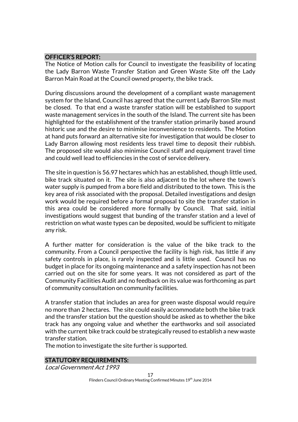### OFFICER'S REPORT:

The Notice of Motion calls for Council to investigate the feasibility of locating the Lady Barron Waste Transfer Station and Green Waste Site off the Lady Barron Main Road at the Council owned property, the bike track.

During discussions around the development of a compliant waste management system for the Island, Council has agreed that the current Lady Barron Site must be closed. To that end a waste transfer station will be established to support waste management services in the south of the Island. The current site has been highlighted for the establishment of the transfer station primarily based around historic use and the desire to minimise inconvenience to residents. The Motion at hand puts forward an alternative site for investigation that would be closer to Lady Barron allowing most residents less travel time to deposit their rubbish. The proposed site would also minimise Council staff and equipment travel time and could well lead to efficiencies in the cost of service delivery.

The site in question is 56.97 hectares which has an established, though little used, bike track situated on it. The site is also adjacent to the lot where the town's water supply is pumped from a bore field and distributed to the town. This is the key area of risk associated with the proposal. Detailed investigations and design work would be required before a formal proposal to site the transfer station in this area could be considered more formally by Council. That said, initial investigations would suggest that bunding of the transfer station and a level of restriction on what waste types can be deposited, would be sufficient to mitigate any risk.

A further matter for consideration is the value of the bike track to the community. From a Council perspective the facility is high risk, has little if any safety controls in place, is rarely inspected and is little used. Council has no budget in place for its ongoing maintenance and a safety inspection has not been carried out on the site for some years. It was not considered as part of the Community Facilities Audit and no feedback on its value was forthcoming as part of community consultation on community facilities.

A transfer station that includes an area for green waste disposal would require no more than 2 hectares. The site could easily accommodate both the bike track and the transfer station but the question should be asked as to whether the bike track has any ongoing value and whether the earthworks and soil associated with the current bike track could be strategically reused to establish a new waste transfer station.

The motion to investigate the site further is supported.

### STATUTORY REQUIREMENTS:

Local Government Act 1993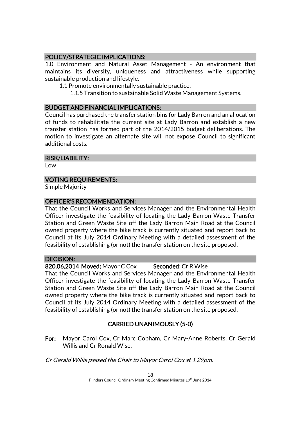## POLICY/STRATEGIC IMPLICATIONS:

1.0 Environment and Natural Asset Management - An environment that maintains its diversity, uniqueness and attractiveness while supporting sustainable production and lifestyle.

- 1.1 Promote environmentally sustainable practice.
	- 1.1.5 Transition to sustainable Solid Waste Management Systems.

## BUDGET AND FINANCIAL IMPLICATIONS:

Council has purchased the transfer station bins for Lady Barron and an allocation of funds to rehabilitate the current site at Lady Barron and establish a new transfer station has formed part of the 2014/2015 budget deliberations. The motion to investigate an alternate site will not expose Council to significant additional costs.

### RISK/LIABILITY:

Low

## VOTING REQUIREMENTS:

Simple Majority

### OFFICER'S RECOMMENDATION:

That the Council Works and Services Manager and the Environmental Health Officer investigate the feasibility of locating the Lady Barron Waste Transfer Station and Green Waste Site off the Lady Barron Main Road at the Council owned property where the bike track is currently situated and report back to Council at its July 2014 Ordinary Meeting with a detailed assessment of the feasibility of establishing (or not) the transfer station on the site proposed.

### DECISION:

## 820.06.2014 Moved: Mayor C Cox Seconded: Cr R Wise

That the Council Works and Services Manager and the Environmental Health Officer investigate the feasibility of locating the Lady Barron Waste Transfer Station and Green Waste Site off the Lady Barron Main Road at the Council owned property where the bike track is currently situated and report back to Council at its July 2014 Ordinary Meeting with a detailed assessment of the feasibility of establishing (or not) the transfer station on the site proposed.

## CARRIED UNANIMOUSLY (5-0)

For: Mayor Carol Cox, Cr Marc Cobham, Cr Mary-Anne Roberts, Cr Gerald Willis and Cr Ronald Wise.

Cr Gerald Willis passed the Chair to Mayor Carol Cox at 1.29pm.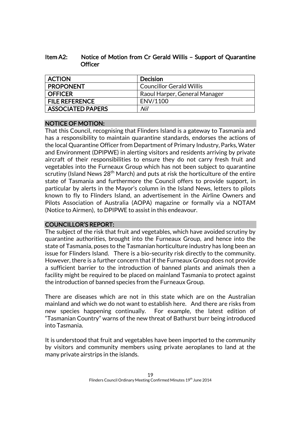| ltem A2: | Notice of Motion from Cr Gerald Willis - Support of Quarantine |
|----------|----------------------------------------------------------------|
|          | Officer                                                        |

| <b>ACTION</b>            | <b>Decision</b>                 |
|--------------------------|---------------------------------|
| <b>PROPONENT</b>         | <b>Councillor Gerald Willis</b> |
| <b>OFFICER</b>           | Raoul Harper, General Manager   |
| <b>FILE REFERENCE</b>    | ENV/1100                        |
| <b>ASSOCIATED PAPERS</b> | Nil                             |

## NOTICE OF MOTION:

That this Council, recognising that Flinders Island is a gateway to Tasmania and has a responsibility to maintain quarantine standards, endorses the actions of the local Quarantine Officer from Department of Primary Industry, Parks, Water and Environment (DPIPWE) in alerting visitors and residents arriving by private aircraft of their responsibilities to ensure they do not carry fresh fruit and vegetables into the Furneaux Group which has not been subject to quarantine scrutiny (Island News  $28<sup>th</sup>$  March) and puts at risk the horticulture of the entire state of Tasmania and furthermore the Council offers to provide support, in particular by alerts in the Mayor's column in the Island News, letters to pilots known to fly to Flinders Island, an advertisement in the Airline Owners and Pilots Association of Australia (AOPA) magazine or formally via a NOTAM (Notice to Airmen), to DPIPWE to assist in this endeavour.

### COUNCILLOR'S REPORT:

The subject of the risk that fruit and vegetables, which have avoided scrutiny by quarantine authorities, brought into the Furneaux Group, and hence into the state of Tasmania, poses to the Tasmanian horticulture industry has long been an issue for Flinders Island. There is a bio-security risk directly to the community. However, there is a further concern that if the Furneaux Group does not provide a sufficient barrier to the introduction of banned plants and animals then a facility might be required to be placed on mainland Tasmania to protect against the introduction of banned species from the Furneaux Group.

There are diseases which are not in this state which are on the Australian mainland and which we do not want to establish here. And there are risks from new species happening continually. For example, the latest edition of "Tasmanian Country" warns of the new threat of Bathurst burr being introduced into Tasmania.

It is understood that fruit and vegetables have been imported to the community by visitors and community members using private aeroplanes to land at the many private airstrips in the islands.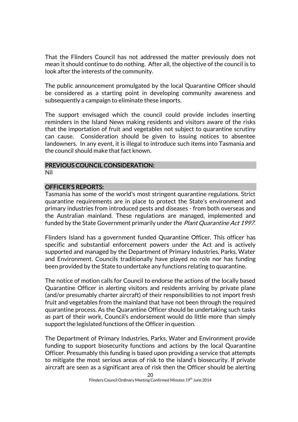That the Flinders Council has not addressed the matter previously does not mean it should continue to do nothing. After all, the objective of the council is to look after the interests of the community.

The public announcement promulgated by the local Quarantine Officer should be considered as a starting point in developing community awareness and subsequently a campaign to eliminate these imports.

The support envisaged which the council could provide includes inserting reminders in the Island News making residents and visitors aware of the risks that the importation of fruit and vegetables not subject to quarantine scrutiny can cause. Consideration should be given to issuing notices to absentee landowners. In any event, it is illegal to introduce such items into Tasmania and the council should make that fact known.

### PREVIOUS COUNCIL CONSIDERATION:

Nil

### OFFICER'S REPORTS:

Tasmania has some of the world's most stringent quarantine regulations. Strict quarantine requirements are in place to protect the State's environment and primary industries from introduced pests and diseases - from both overseas and the Australian mainland. These regulations are managed, implemented and funded by the State Government primarily under the Plant Quarantine Act 1997.

Flinders Island has a government funded Quarantine Officer. This officer has specific and substantial enforcement powers under the Act and is actively supported and managed by the Department of Primary Industries, Parks, Water and Environment. Councils traditionally have played no role nor has funding been provided by the State to undertake any functions relating to quarantine.

The notice of motion calls for Council to endorse the actions of the locally based Quarantine Officer in alerting visitors and residents arriving by private plane (and/or presumably charter aircraft) of their responsibilities to not import fresh fruit and vegetables from the mainland that have not been through the required quarantine process. As the Quarantine Officer should be undertaking such tasks as part of their work, Council's endorsement would do little more than simply support the legislated functions of the Officer in question.

The Department of Primary Industries, Parks, Water and Environment provide funding to support biosecurity functions and actions by the local Quarantine Officer. Presumably this funding is based upon providing a service that attempts to mitigate the most serious areas of risk to the island's biosecurity. If private aircraft are seen as a significant area of risk then the Officer should be alerting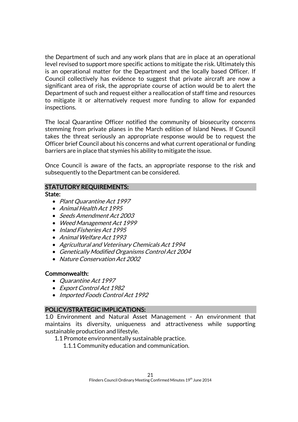the Department of such and any work plans that are in place at an operational level revised to support more specific actions to mitigate the risk. Ultimately this is an operational matter for the Department and the locally based Officer. If Council collectively has evidence to suggest that private aircraft are now a significant area of risk, the appropriate course of action would be to alert the Department of such and request either a reallocation of staff time and resources to mitigate it or alternatively request more funding to allow for expanded inspections.

The local Quarantine Officer notified the community of biosecurity concerns stemming from private planes in the March edition of Island News. If Council takes the threat seriously an appropriate response would be to request the Officer brief Council about his concerns and what current operational or funding barriers are in place that stymies his ability to mitigate the issue.

Once Council is aware of the facts, an appropriate response to the risk and subsequently to the Department can be considered.

## STATUTORY REQUIREMENTS:

State:

- Plant Quarantine Act 1997
- Animal Health Act 1995
- Seeds Amendment Act 2003
- Weed Management Act 1999
- Inland Fisheries Act 1995
- Animal Welfare Act 1993
- Agricultural and Veterinary Chemicals Act 1994
- Genetically Modified Organisms Control Act 2004
- Nature Conservation Act 2002

## Commonwealth:

- Quarantine Act 1997
- Export Control Act 1982
- Imported Foods Control Act 1992

## POLICY/STRATEGIC IMPLICATIONS:

1.0 Environment and Natural Asset Management - An environment that maintains its diversity, uniqueness and attractiveness while supporting sustainable production and lifestyle.

- 1.1 Promote environmentally sustainable practice.
	- 1.1.1 Community education and communication.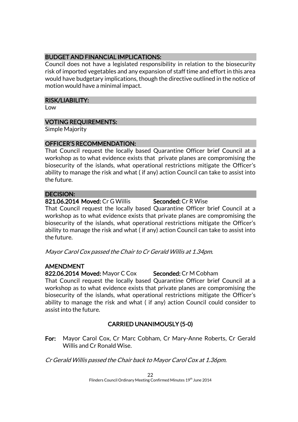## BUDGET AND FINANCIAL IMPLICATIONS:

Council does not have a legislated responsibility in relation to the biosecurity risk of imported vegetables and any expansion of staff time and effort in this area would have budgetary implications, though the directive outlined in the notice of motion would have a minimal impact.

### RISK/LIABILITY:

Low

## VOTING REQUIREMENTS:

Simple Majority

### OFFICER'S RECOMMENDATION:

That Council request the locally based Quarantine Officer brief Council at a workshop as to what evidence exists that private planes are compromising the biosecurity of the islands, what operational restrictions mitigate the Officer's ability to manage the risk and what ( if any) action Council can take to assist into the future.

## DECISION:

821.06.2014 Moved: Cr G Willis Seconded: Cr R Wise

That Council request the locally based Quarantine Officer brief Council at a workshop as to what evidence exists that private planes are compromising the biosecurity of the islands, what operational restrictions mitigate the Officer's ability to manage the risk and what ( if any) action Council can take to assist into the future.

Mayor Carol Cox passed the Chair to Cr Gerald Willis at 1.34pm.

## AMENDMENT

822.06.2014 Moved: Mayor C Cox Seconded: Cr M Cobham

That Council request the locally based Quarantine Officer brief Council at a workshop as to what evidence exists that private planes are compromising the biosecurity of the islands, what operational restrictions mitigate the Officer's ability to manage the risk and what ( if any) action Council could consider to assist into the future.

## CARRIED UNANIMOUSLY (5-0)

For: Mayor Carol Cox, Cr Marc Cobham, Cr Mary-Anne Roberts, Cr Gerald Willis and Cr Ronald Wise.

Cr Gerald Willis passed the Chair back to Mayor Carol Cox at 1.36pm.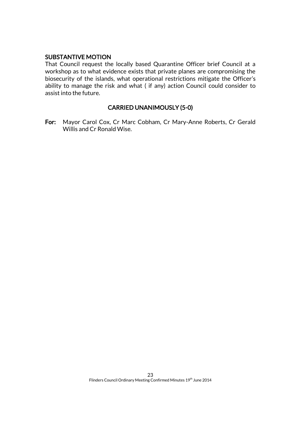### SUBSTANTIVE MOTION

That Council request the locally based Quarantine Officer brief Council at a workshop as to what evidence exists that private planes are compromising the biosecurity of the islands, what operational restrictions mitigate the Officer's ability to manage the risk and what ( if any) action Council could consider to assist into the future.

### CARRIED UNANIMOUSLY (5-0)

For: Mayor Carol Cox, Cr Marc Cobham, Cr Mary-Anne Roberts, Cr Gerald Willis and Cr Ronald Wise.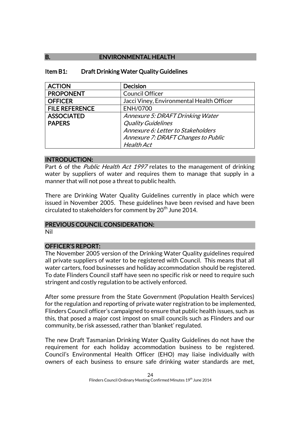## B. ENVIRONMENTAL HEALTH

### Item B1: Draft Drinking Water Quality Guidelines

| <b>ACTION</b>         | <b>Decision</b>                           |
|-----------------------|-------------------------------------------|
| <b>PROPONENT</b>      | <b>Council Officer</b>                    |
| <b>OFFICER</b>        | Jacci Viney, Environmental Health Officer |
| <b>FILE REFERENCE</b> | ENH/0700                                  |
| <b>ASSOCIATED</b>     | Annexure 5: DRAFT Drinking Water          |
| <b>PAPERS</b>         | <b>Quality Guidelines</b>                 |
|                       | Annexure 6: Letter to Stakeholders        |
|                       | Annexure 7: DRAFT Changes to Public       |
|                       | <b>Health Act</b>                         |

### INTRODUCTION:

Part 6 of the *Public Health Act 1997* relates to the management of drinking water by suppliers of water and requires them to manage that supply in a manner that will not pose a threat to public health.

There are Drinking Water Quality Guidelines currently in place which were issued in November 2005. These guidelines have been revised and have been circulated to stakeholders for comment by 20<sup>th</sup> June 2014.

### PREVIOUS COUNCIL CONSIDERATION:

Nil

### OFFICER'S REPORT:

The November 2005 version of the Drinking Water Quality guidelines required all private suppliers of water to be registered with Council. This means that all water carters, food businesses and holiday accommodation should be registered. To date Flinders Council staff have seen no specific risk or need to require such stringent and costly regulation to be actively enforced.

After some pressure from the State Government (Population Health Services) for the regulation and reporting of private water registration to be implemented, Flinders Council officer's campaigned to ensure that public health issues, such as this, that posed a major cost impost on small councils such as Flinders and our community, be risk assessed, rather than 'blanket' regulated.

The new Draft Tasmanian Drinking Water Quality Guidelines do not have the requirement for each holiday accommodation business to be registered. Council's Environmental Health Officer (EHO) may liaise individually with owners of each business to ensure safe drinking water standards are met,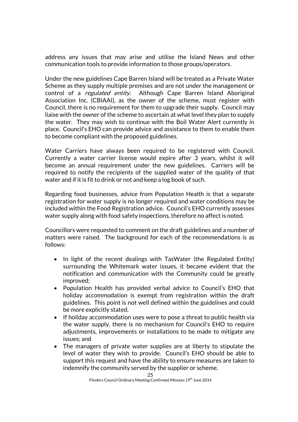address any issues that may arise and utilise the Island News and other communication tools to provide information to those groups/operators.

Under the new guidelines Cape Barren Island will be treated as a Private Water Scheme as they supply multiple premises and are not under the management or control of a *regulated entity*. Although Cape Barren Island Aboriginal Association Inc. (CBIAAI), as the owner of the scheme, must register with Council, there is no requirement for them to upgrade their supply. Council may liaise with the owner of the scheme to ascertain at what level they plan to supply the water. They may wish to continue with the Boil Water Alert currently in place. Council's EHO can provide advice and assistance to them to enable them to become compliant with the proposed guidelines.

Water Carriers have always been required to be registered with Council. Currently a water carrier license would expire after 3 years, whilst it will become an annual requirement under the new guidelines. Carriers will be required to notify the recipients of the supplied water of the quality of that water and if it is fit to drink or not and keep a log book of such.

Regarding food businesses, advice from Population Health is that a separate registration for water supply is no longer required and water conditions may be included within the Food Registration advice. Council's EHO currently assesses water supply along with food safety inspections, therefore no affect is noted.

Councillors were requested to comment on the draft guidelines and a number of matters were raised. The background for each of the recommendations is as follows:

- In light of the recent dealings with TasWater (the Regulated Entity) surrounding the Whitemark water issues, it became evident that the notification and communication with the Community could be greatly improved;
- Population Health has provided verbal advice to Council's EHO that holiday accommodation is exempt from registration within the draft guidelines. This point is not well defined within the guidelines and could be more explicitly stated.
- If holiday accommodation uses were to pose a threat to public health via the water supply, there is no mechanism for Council's EHO to require adjustments, improvements or installations to be made to mitigate any issues; and
- The managers of private water supplies are at liberty to stipulate the level of water they wish to provide. Council's EHO should be able to support this request and have the ability to ensure measures are taken to indemnify the community served by the supplier or scheme.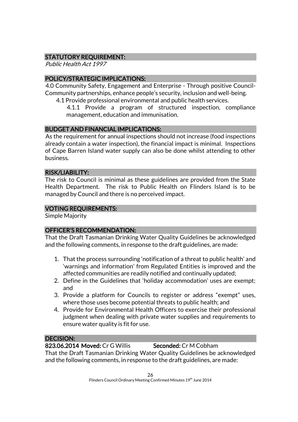## STATUTORY REQUIREMENT:

Public Health Act 1997

## POLICY/STRATEGIC IMPLICATIONS:

4.0 Community Safety, Engagement and Enterprise - Through positive Council-Community partnerships, enhance people's security, inclusion and well-being.

4.1 Provide professional environmental and public health services.

4.1.1 Provide a program of structured inspection, compliance management, education and immunisation.

## BUDGET AND FINANCIAL IMPLICATIONS:

As the requirement for annual inspections should not increase (food inspections already contain a water inspection), the financial impact is minimal. Inspections of Cape Barren Island water supply can also be done whilst attending to other business.

### RISK/LIABILITY:

The risk to Council is minimal as these guidelines are provided from the State Health Department. The risk to Public Health on Flinders Island is to be managed by Council and there is no perceived impact.

## VOTING REQUIREMENTS:

Simple Majority

## OFFICER'S RECOMMENDATION:

That the Draft Tasmanian Drinking Water Quality Guidelines be acknowledged and the following comments, in response to the draft guidelines, are made:

- 1. That the process surrounding 'notification of a threat to public health' and 'warnings and information' from Regulated Entities is improved and the affected communities are readily notified and continually updated;
- 2. Define in the Guidelines that 'holiday accommodation' uses are exempt; and
- 3. Provide a platform for Councils to register or address "exempt" uses, where those uses become potential threats to public health; and
- 4. Provide for Environmental Health Officers to exercise their professional judgment when dealing with private water supplies and requirements to ensure water quality is fit for use.

## DECISION:

## 823.06.2014 Moved: Cr G Willis Seconded: Cr M Cobham

That the Draft Tasmanian Drinking Water Quality Guidelines be acknowledged and the following comments, in response to the draft guidelines, are made: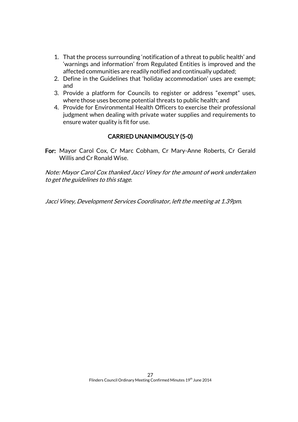- 1. That the process surrounding 'notification of a threat to public health' and 'warnings and information' from Regulated Entities is improved and the affected communities are readily notified and continually updated;
- 2. Define in the Guidelines that 'holiday accommodation' uses are exempt; and
- 3. Provide a platform for Councils to register or address "exempt" uses, where those uses become potential threats to public health; and
- 4. Provide for Environmental Health Officers to exercise their professional judgment when dealing with private water supplies and requirements to ensure water quality is fit for use.

## CARRIED UNANIMOUSLY (5-0)

For: Mayor Carol Cox, Cr Marc Cobham, Cr Mary-Anne Roberts, Cr Gerald Willis and Cr Ronald Wise.

Note: Mayor Carol Cox thanked Jacci Viney for the amount of work undertaken to get the guidelines to this stage.

Jacci Viney, Development Services Coordinator, left the meeting at 1.39pm.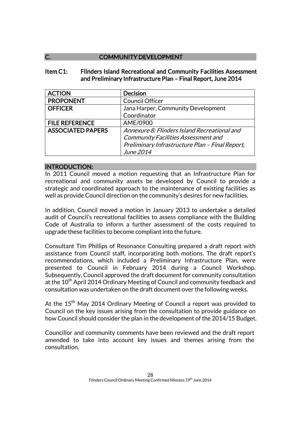## C. **COMMUNITY DEVELOPMENT**

### Item C1: Flinders Island Recreational and Community Facilities Assessment and Preliminary Infrastructure Plan – Final Report, June 2014

| <b>ACTION</b>            | <b>Decision</b>                                 |
|--------------------------|-------------------------------------------------|
| <b>PROPONENT</b>         | <b>Council Officer</b>                          |
| <b>OFFICER</b>           | Jana Harper, Community Development              |
|                          | Coordinator                                     |
| <b>FILE REFERENCE</b>    | AME/0900                                        |
| <b>ASSOCIATED PAPERS</b> | Annexure 8: Flinders Island Recreational and    |
|                          | <b>Community Facilities Assessment and</b>      |
|                          | Preliminary Infrastructure Plan - Final Report, |
|                          | June 2014                                       |

### INTRODUCTION:

In 2011 Council moved a motion requesting that an Infrastructure Plan for recreational and community assets be developed by Council to provide a strategic and coordinated approach to the maintenance of existing facilities as well as provide Council direction on the community's desires for new facilities.

In addition, Council moved a motion in January 2013 to undertake a detailed audit of Council's recreational facilities to assess compliance with the Building Code of Australia to inform a further assessment of the costs required to upgrade these facilities to become compliant into the future.

Consultant Tim Phillips of Resonance Consulting prepared a draft report with assistance from Council staff, incorporating both motions. The draft report's recommendations, which included a Preliminary Infrastructure Plan, were presented to Council in February 2014 during a Council Workshop. Subsequently, Council approved the draft document for community consultation at the 10<sup>th</sup> April 2014 Ordinary Meeting of Council and community feedback and consultation was undertaken on the draft document over the following weeks.

At the  $15<sup>th</sup>$  May 2014 Ordinary Meeting of Council a report was provided to Council on the key issues arising from the consultation to provide guidance on how Council should consider the plan in the development of the 2014/15 Budget.

Councillor and community comments have been reviewed and the draft report amended to take into account key issues and themes arising from the consultation.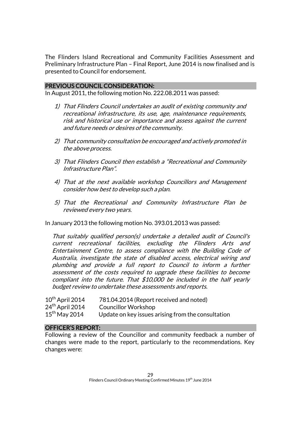The Flinders Island Recreational and Community Facilities Assessment and Preliminary Infrastructure Plan – Final Report, June 2014 is now finalised and is presented to Council for endorsement.

### PREVIOUS COUNCIL CONSIDERATION:

In August 2011, the following motion No. 222.08.2011 was passed:

- 1) That Flinders Council undertakes an audit of existing community and recreational infrastructure, its use, age, maintenance requirements, risk and historical use or importance and assess against the current and future needs or desires of the community.
- 2) That community consultation be encouraged and actively promoted in the above process.
- 3) That Flinders Council then establish a "Recreational and Community Infrastructure Plan".
- 4) That at the next available workshop Councillors and Management consider how best to develop such a plan.
- 5) That the Recreational and Community Infrastructure Plan be reviewed every two years.

In January 2013 the following motion No. 393.01.2013 was passed:

That suitably qualified person(s) undertake a detailed audit of Council's current recreational facilities, excluding the Flinders Arts and Entertainment Centre, to assess compliance with the Building Code of Australia, investigate the state of disabled access, electrical wiring and plumbing and provide a full report to Council to inform a further assessment of the costs required to upgrade these facilities to become compliant into the future. That \$10,000 be included in the half yearly budget review to undertake these assessments and reports.

| $10^{th}$ April 2014        | 781.04.2014 (Report received and noted)            |
|-----------------------------|----------------------------------------------------|
| 24 <sup>th</sup> April 2014 | <b>Councillor Workshop</b>                         |
| $15^{th}$ May 2014          | Update on key issues arising from the consultation |

### OFFICER'S REPORT:

Following a review of the Councillor and community feedback a number of changes were made to the report, particularly to the recommendations. Key changes were: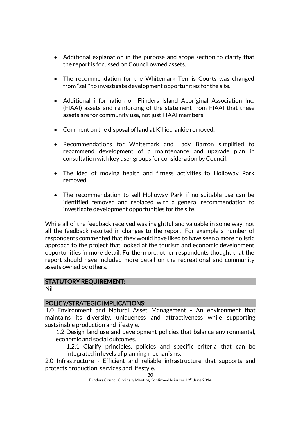- Additional explanation in the purpose and scope section to clarify that the report is focussed on Council owned assets.
- The recommendation for the Whitemark Tennis Courts was changed from "sell" to investigate development opportunities for the site.
- Additional information on Flinders Island Aboriginal Association Inc. (FIAAI) assets and reinforcing of the statement from FIAAI that these assets are for community use, not just FIAAI members.
- Comment on the disposal of land at Killiecrankie removed.
- Recommendations for Whitemark and Lady Barron simplified to recommend development of a maintenance and upgrade plan in consultation with key user groups for consideration by Council.
- The idea of moving health and fitness activities to Holloway Park removed.
- The recommendation to sell Holloway Park if no suitable use can be identified removed and replaced with a general recommendation to investigate development opportunities for the site.

While all of the feedback received was insightful and valuable in some way, not all the feedback resulted in changes to the report. For example a number of respondents commented that they would have liked to have seen a more holistic approach to the project that looked at the tourism and economic development opportunities in more detail. Furthermore, other respondents thought that the report should have included more detail on the recreational and community assets owned by others.

### STATUTORY REQUIREMENT:

Nil

### POLICY/STRATEGIC IMPLICATIONS:

1.0 Environment and Natural Asset Management - An environment that maintains its diversity, uniqueness and attractiveness while supporting sustainable production and lifestyle.

1.2 Design land use and development policies that balance environmental, economic and social outcomes.

1.2.1 Clarify principles, policies and specific criteria that can be integrated in levels of planning mechanisms.

2.0 Infrastructure - Efficient and reliable infrastructure that supports and protects production, services and lifestyle.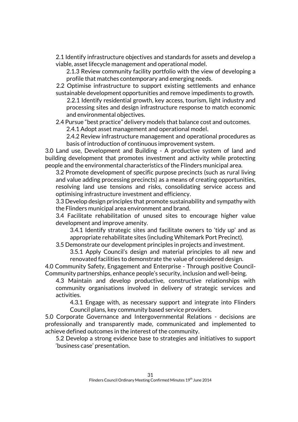2.1 Identify infrastructure objectives and standards for assets and develop a viable, asset lifecycle management and operational model.

2.1.3 Review community facility portfolio with the view of developing a profile that matches contemporary and emerging needs.

2.2 Optimise infrastructure to support existing settlements and enhance sustainable development opportunities and remove impediments to growth.

2.2.1 Identify residential growth, key access, tourism, light industry and processing sites and design infrastructure response to match economic and environmental objectives.

2.4 Pursue "best practice" delivery models that balance cost and outcomes. 2.4.1 Adopt asset management and operational model.

2.4.2 Review infrastructure management and operational procedures as basis of introduction of continuous improvement system.

3.0 Land use, Development and Building - A productive system of land and building development that promotes investment and activity while protecting people and the environmental characteristics of the Flinders municipal area.

3.2 Promote development of specific purpose precincts (such as rural living and value adding processing precincts) as a means of creating opportunities, resolving land use tensions and risks, consolidating service access and optimising infrastructure investment and efficiency.

3.3 Develop design principles that promote sustainability and sympathy with the Flinders municipal area environment and brand.

3.4 Facilitate rehabilitation of unused sites to encourage higher value development and improve amenity.

3.4.1 Identify strategic sites and facilitate owners to 'tidy up' and as appropriate rehabilitate sites (including Whitemark Port Precinct).

3.5 Demonstrate our development principles in projects and investment.

3.5.1 Apply Council's design and material principles to all new and renovated facilities to demonstrate the value of considered design.

4.0 Community Safety, Engagement and Enterprise - Through positive Council-Community partnerships, enhance people's security, inclusion and well-being.

4.3 Maintain and develop productive, constructive relationships with community organisations involved in delivery of strategic services and activities.

4.3.1 Engage with, as necessary support and integrate into Flinders Council plans, key community based service providers.

5.0 Corporate Governance and Intergovernmental Relations - decisions are professionally and transparently made, communicated and implemented to achieve defined outcomes in the interest of the community.

5.2 Develop a strong evidence base to strategies and initiatives to support 'business case' presentation.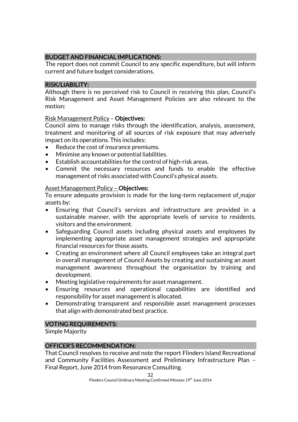## BUDGET AND FINANCIAL IMPLICATIONS:

The report does not commit Council to any specific expenditure, but will inform current and future budget considerations.

### RISK/LIABILITY:

Although there is no perceived risk to Council in receiving this plan, Council's Risk Management and Asset Management Policies are also relevant to the motion:

### Risk Management Policy – Objectives:

Council aims to manage risks through the identification, analysis, assessment, treatment and monitoring of all sources of risk exposure that may adversely impact on its operations. This includes:

- Reduce the cost of insurance premiums.
- Minimise any known or potential liabilities.
- Establish accountabilities for the control of high-risk areas.
- Commit the necessary resources and funds to enable the effective management of risks associated with Council's physical assets.

### Asset Management Policy – Objectives:

To ensure adequate provision is made for the long-term replacement of major assets by:

- Ensuring that Council's services and infrastructure are provided in a sustainable manner, with the appropriate levels of service to residents, visitors and the environment.
- Safeguarding Council assets including physical assets and employees by implementing appropriate asset management strategies and appropriate financial resources for those assets.
- Creating an environment where all Council employees take an integral part in overall management of Council Assets by creating and sustaining an asset management awareness throughout the organisation by training and development.
- Meeting legislative requirements for asset management.
- Ensuring resources and operational capabilities are identified and responsibility for asset management is allocated.
- Demonstrating transparent and responsible asset management processes that align with demonstrated best practice.

## VOTING REQUIREMENTS:

Simple Majority

## OFFICER'S RECOMMENDATION:

That Council resolves to receive and note the report Flinders Island Recreational and Community Facilities Assessment and Preliminary Infrastructure Plan – Final Report, June 2014 from Resonance Consulting.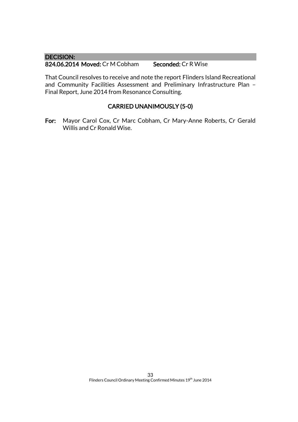### DECISION:

824.06.2014 Moved: Cr M Cobham Seconded: Cr R Wise

That Council resolves to receive and note the report Flinders Island Recreational and Community Facilities Assessment and Preliminary Infrastructure Plan – Final Report, June 2014 from Resonance Consulting.

## CARRIED UNANIMOUSLY (5-0)

For: Mayor Carol Cox, Cr Marc Cobham, Cr Mary-Anne Roberts, Cr Gerald Willis and Cr Ronald Wise.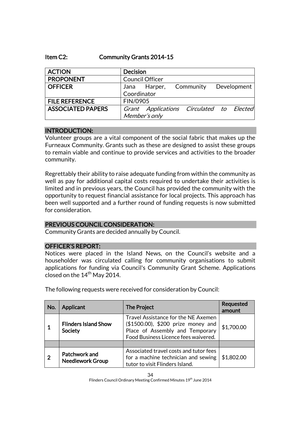### Item C2: Community Grants 2014-15

| <b>ACTION</b>            | <b>Decision</b> |                                          |  |             |
|--------------------------|-----------------|------------------------------------------|--|-------------|
| <b>PROPONENT</b>         |                 | <b>Council Officer</b>                   |  |             |
| <b>OFFICER</b>           |                 | Jana Harper, Community                   |  | Development |
|                          | Coordinator     |                                          |  |             |
| <b>FILE REFERENCE</b>    | FIN/0905        |                                          |  |             |
| <b>ASSOCIATED PAPERS</b> |                 | Grant Applications Circulated to Elected |  |             |
|                          |                 | Member's only                            |  |             |

### INTRODUCTION:

Volunteer groups are a vital component of the social fabric that makes up the Furneaux Community. Grants such as these are designed to assist these groups to remain viable and continue to provide services and activities to the broader community.

Regrettably their ability to raise adequate funding from within the community as well as pay for additional capital costs required to undertake their activities is limited and in previous years, the Council has provided the community with the opportunity to request financial assistance for local projects. This approach has been well supported and a further round of funding requests is now submitted for consideration.

### PREVIOUS COUNCIL CONSIDERATION:

Community Grants are decided annually by Council.

### OFFICER'S REPORT:

Notices were placed in the Island News, on the Council's website and a householder was circulated calling for community organisations to submit applications for funding via Council's Community Grant Scheme. Applications closed on the  $14<sup>th</sup>$  May 2014.

| No.            | <b>Applicant</b>                         | The Project                                                                                                                                          | <b>Requested</b><br>amount |
|----------------|------------------------------------------|------------------------------------------------------------------------------------------------------------------------------------------------------|----------------------------|
|                | <b>Flinders Island Show</b><br>Society   | Travel Assistance for the NE Axemen<br>(\$1500.00), \$200 prize money and<br>Place of Assembly and Temporary<br>Food Business Licence fees waivered. | \$1,700.00                 |
|                |                                          |                                                                                                                                                      |                            |
| $\overline{2}$ | Patchwork and<br><b>Needlework Group</b> | Associated travel costs and tutor fees<br>for a machine technician and sewing<br>tutor to visit Flinders Island.                                     | \$1,802.00                 |

The following requests were received for consideration by Council: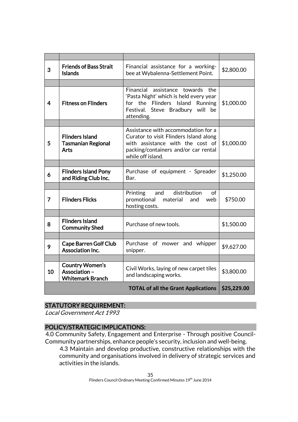| 3              | <b>Friends of Bass Strait</b><br><b>Islands</b>                    | Financial assistance for a working-<br>bee at Wybalenna-Settlement Point.                                                                                                      | \$2,800.00  |
|----------------|--------------------------------------------------------------------|--------------------------------------------------------------------------------------------------------------------------------------------------------------------------------|-------------|
|                |                                                                    |                                                                                                                                                                                |             |
| $\overline{4}$ | <b>Fitness on Flinders</b>                                         | Financial assistance towards the<br>'Pasta Night' which is held every year<br>for the Flinders Island<br><b>Running</b><br>Festival. Steve Bradbury will<br>be<br>attending.   | \$1,000.00  |
|                |                                                                    |                                                                                                                                                                                |             |
| 5              | <b>Flinders Island</b><br><b>Tasmanian Regional</b><br><b>Arts</b> | Assistance with accommodation for a<br>Curator to visit Flinders Island along<br>with assistance with the cost of<br>packing/containers and/or car rental<br>while off island. | \$1,000.00  |
|                |                                                                    |                                                                                                                                                                                |             |
| 6              | <b>Flinders Island Pony</b><br>and Riding Club Inc.                | Purchase of equipment - Spreader<br>Bar.                                                                                                                                       | \$1,250.00  |
|                |                                                                    |                                                                                                                                                                                |             |
| 7              | <b>Flinders Flicks</b>                                             | distribution<br>Printing and<br>of<br>promotional<br>material<br>and<br>web<br>hosting costs.                                                                                  | \$750.00    |
|                |                                                                    |                                                                                                                                                                                |             |
| 8              | <b>Flinders Island</b><br><b>Community Shed</b>                    | Purchase of new tools.                                                                                                                                                         | \$1,500.00  |
|                |                                                                    |                                                                                                                                                                                |             |
| 9              | <b>Cape Barren Golf Club</b><br>Association Inc.                   | Purchase of mower and whipper<br>snipper.                                                                                                                                      | \$9,627.00  |
|                |                                                                    |                                                                                                                                                                                |             |
| 10             | <b>Country Women's</b><br>Association-<br><b>Whitemark Branch</b>  | Civil Works, laying of new carpet tiles<br>and landscaping works.                                                                                                              | \$3,800.00  |
|                |                                                                    | <b>TOTAL of all the Grant Applications</b>                                                                                                                                     | \$25,229.00 |

## STATUTORY REQUIREMENT:

Local Government Act 1993

## POLICY/STRATEGIC IMPLICATIONS:

4.0 Community Safety, Engagement and Enterprise - Through positive Council-Community partnerships, enhance people's security, inclusion and well-being.

4.3 Maintain and develop productive, constructive relationships with the community and organisations involved in delivery of strategic services and activities in the islands.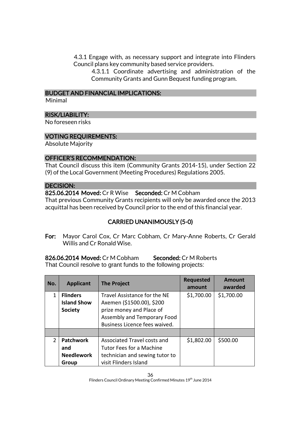4.3.1 Engage with, as necessary support and integrate into Flinders Council plans key community based service providers.

4.3.1.1 Coordinate advertising and administration of the Community Grants and Gunn Bequest funding program.

### BUDGET AND FINANCIAL IMPLICATIONS:

Minimal

### RISK/LIABILITY:

No foreseen risks

### VOTING REQUIREMENTS:

Absolute Majority

### OFFICER'S RECOMMENDATION:

That Council discuss this item (Community Grants 2014-15), under Section 22 (9) of the Local Government (Meeting Procedures) Regulations 2005.

### DECISION:

825.06.2014 Moved: Cr R Wise Seconded: Cr M Cobham

That previous Community Grants recipients will only be awarded once the 2013 acquittal has been received by Council prior to the end of this financial year.

## CARRIED UNANIMOUSLY (5-0)

For: Mayor Carol Cox, Cr Marc Cobham, Cr Mary-Anne Roberts, Cr Gerald Willis and Cr Ronald Wise.

826.06.2014 Moved: Cr M Cobham Seconded: Cr M Roberts That Council resolve to grant funds to the following projects:

| No.           | <b>Applicant</b>                                        | <b>The Project</b>                                                                                                                                    | <b>Requested</b><br>amount | Amount<br>awarded |
|---------------|---------------------------------------------------------|-------------------------------------------------------------------------------------------------------------------------------------------------------|----------------------------|-------------------|
| 1             | <b>Flinders</b><br><b>Island Show</b><br><b>Society</b> | Travel Assistance for the NE<br>Axemen (\$1500.00), \$200<br>prize money and Place of<br>Assembly and Temporary Food<br>Business Licence fees waived. | \$1,700.00                 | \$1,700.00        |
|               |                                                         |                                                                                                                                                       |                            |                   |
| $\mathcal{P}$ | <b>Patchwork</b><br>and<br><b>Needlework</b><br>Group   | Associated Travel costs and<br>Tutor Fees for a Machine<br>technician and sewing tutor to<br>visit Flinders Island                                    | \$1,802.00                 | \$500.00          |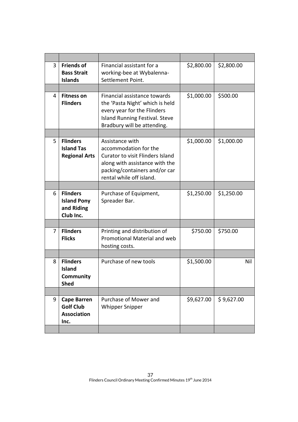| 3 | <b>Friends of</b><br><b>Bass Strait</b><br><b>Islands</b>            | Financial assistant for a<br>working-bee at Wybalenna-<br>Settlement Point.                                                                                                        | \$2,800.00 | \$2,800.00 |
|---|----------------------------------------------------------------------|------------------------------------------------------------------------------------------------------------------------------------------------------------------------------------|------------|------------|
|   |                                                                      |                                                                                                                                                                                    |            |            |
| 4 | <b>Fitness on</b><br><b>Flinders</b>                                 | Financial assistance towards<br>the 'Pasta Night' which is held<br>every year for the Flinders<br>Island Running Festival. Steve<br>Bradbury will be attending.                    | \$1,000.00 | \$500.00   |
|   |                                                                      |                                                                                                                                                                                    |            |            |
| 5 | <b>Flinders</b><br><b>Island Tas</b><br><b>Regional Arts</b>         | Assistance with<br>accommodation for the<br><b>Curator to visit Flinders Island</b><br>along with assistance with the<br>packing/containers and/or car<br>rental while off island. | \$1,000.00 | \$1,000.00 |
|   |                                                                      |                                                                                                                                                                                    |            |            |
| 6 | <b>Flinders</b><br><b>Island Pony</b><br>and Riding<br>Club Inc.     | Purchase of Equipment,<br>Spreader Bar.                                                                                                                                            | \$1,250.00 | \$1,250.00 |
|   |                                                                      |                                                                                                                                                                                    |            |            |
| 7 | <b>Flinders</b><br><b>Flicks</b>                                     | Printing and distribution of<br>Promotional Material and web<br>hosting costs.                                                                                                     | \$750.00   | \$750.00   |
|   |                                                                      |                                                                                                                                                                                    |            |            |
| 8 | <b>Flinders</b><br><b>Island</b><br>Community<br><b>Shed</b>         | Purchase of new tools                                                                                                                                                              | \$1,500.00 | Nil        |
|   |                                                                      |                                                                                                                                                                                    |            |            |
| 9 | <b>Cape Barren</b><br><b>Golf Club</b><br><b>Association</b><br>Inc. | Purchase of Mower and<br><b>Whipper Snipper</b>                                                                                                                                    | \$9,627.00 | \$9,627.00 |
|   |                                                                      |                                                                                                                                                                                    |            |            |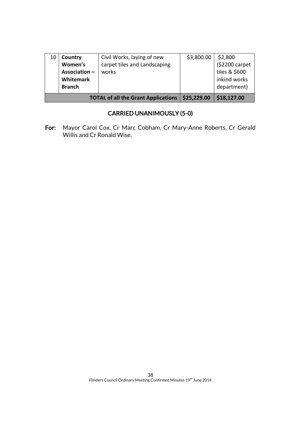|    | Association-<br>Whitemark<br><b>Branch</b> | works<br><b>TOTAL of all the Grant Applications</b>        | \$25,229.00 | tiles & \$600<br>inkind works<br>department)<br>\$18,127.00 |
|----|--------------------------------------------|------------------------------------------------------------|-------------|-------------------------------------------------------------|
| 10 | Country<br>Women's                         | Civil Works, laying of new<br>carpet tiles and Landscaping | \$3,800.00  | \$2,800<br>(\$2200 carpet                                   |

## CARRIED UNANIMOUSLY (5-0)

For: Mayor Carol Cox, Cr Marc Cobham, Cr Mary-Anne Roberts, Cr Gerald Willis and Cr Ronald Wise.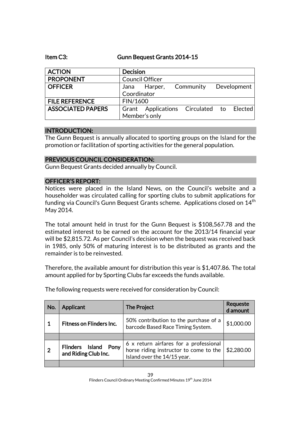Item C3: Gunn Bequest Grants 2014-15

| <b>ACTION</b>            | <b>Decision</b>                          |           |             |
|--------------------------|------------------------------------------|-----------|-------------|
| <b>PROPONENT</b>         | <b>Council Officer</b>                   |           |             |
| <b>OFFICER</b>           | Jana Harper,                             | Community | Development |
|                          | Coordinator                              |           |             |
| <b>FILE REFERENCE</b>    | FIN/1600                                 |           |             |
| <b>ASSOCIATED PAPERS</b> | Grant Applications Circulated to Elected |           |             |
|                          | Member's only                            |           |             |

### INTRODUCTION:

The Gunn Bequest is annually allocated to sporting groups on the Island for the promotion or facilitation of sporting activities for the general population.

### PREVIOUS COUNCIL CONSIDERATION:

Gunn Bequest Grants decided annually by Council.

### OFFICER'S REPORT:

Notices were placed in the Island News, on the Council's website and a householder was circulated calling for sporting clubs to submit applications for funding via Council's Gunn Bequest Grants scheme. Applications closed on 14<sup>th</sup> May 2014.

The total amount held in trust for the Gunn Bequest is \$108,567.78 and the estimated interest to be earned on the account for the 2013/14 financial year will be \$2,815.72. As per Council's decision when the bequest was received back in 1985, only 50% of maturing interest is to be distributed as grants and the remainder is to be reinvested.

Therefore, the available amount for distribution this year is \$1,407.86. The total amount applied for by Sporting Clubs far exceeds the funds available.

| No.            | Applicant                                       | <b>The Project</b>                                                                                              | Requeste<br>d amount |
|----------------|-------------------------------------------------|-----------------------------------------------------------------------------------------------------------------|----------------------|
| 1              | <b>Fitness on Flinders Inc.</b>                 | 50% contribution to the purchase of a<br>barcode Based Race Timing System.                                      | \$1,000.00           |
|                |                                                 |                                                                                                                 |                      |
| $\overline{2}$ | Flinders Island<br>Pony<br>and Riding Club Inc. | 6 x return airfares for a professional<br>horse riding instructor to come to the<br>Island over the 14/15 year. | \$2,280.00           |
|                |                                                 |                                                                                                                 |                      |

The following requests were received for consideration by Council: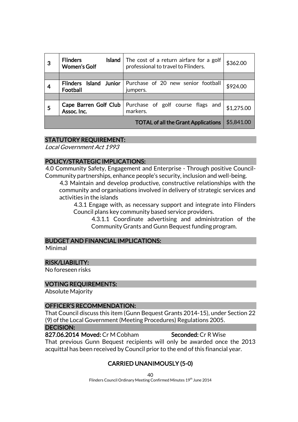| 3 | <b>Flinders</b><br>Island $ $<br><b>Women's Golf</b> | The cost of a return airfare for a golf<br>professional to travel to Flinders. | \$362.00   |
|---|------------------------------------------------------|--------------------------------------------------------------------------------|------------|
|   |                                                      |                                                                                |            |
|   | Flinders Island Junior<br>Football                   | Purchase of 20 new senior football<br>jumpers.                                 | \$924.00   |
|   |                                                      |                                                                                |            |
| 5 | Cape Barren Golf Club<br>Assoc. Inc.                 | Purchase of golf course flags and<br>markers.                                  | \$1,275.00 |
|   |                                                      | <b>TOTAL of all the Grant Applications</b>                                     | \$5,841.00 |

### STATUTORY REQUIREMENT:

Local Government Act 1993

### POLICY/STRATEGIC IMPLICATIONS:

4.0 Community Safety, Engagement and Enterprise - Through positive Council-Community partnerships, enhance people's security, inclusion and well-being.

4.3 Maintain and develop productive, constructive relationships with the community and organisations involved in delivery of strategic services and activities in the islands

4.3.1 Engage with, as necessary support and integrate into Flinders Council plans key community based service providers.

4.3.1.1 Coordinate advertising and administration of the Community Grants and Gunn Bequest funding program.

### BUDGET AND FINANCIAL IMPLICATIONS:

Minimal

### RISK/LIABILITY:

No foreseen risks

### VOTING REQUIREMENTS:

Absolute Majority

### OFFICER'S RECOMMENDATION:

That Council discuss this item (Gunn Bequest Grants 2014-15), under Section 22 (9) of the Local Government (Meeting Procedures) Regulations 2005.

#### DECISION:

827.06.2014 Moved: Cr M Cobham Seconded: Cr R Wise That previous Gunn Bequest recipients will only be awarded once the 2013 acquittal has been received by Council prior to the end of this financial year.

## CARRIED UNANIMOUSLY (5-0)

40 Flinders Council Ordinary Meeting Confirmed Minutes 19<sup>th</sup> June 2014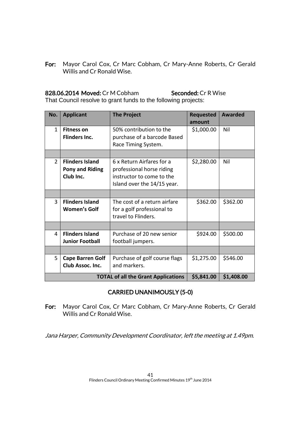For: Mayor Carol Cox, Cr Marc Cobham, Cr Mary-Anne Roberts, Cr Gerald Willis and Cr Ronald Wise.

## 828.06.2014 Moved: Cr M Cobham Seconded: Cr R Wise

That Council resolve to grant funds to the following projects:

| No.            | <b>Applicant</b>                                                       | <b>The Project</b>                                                                                                 | <b>Requested</b><br>amount | Awarded  |  |  |
|----------------|------------------------------------------------------------------------|--------------------------------------------------------------------------------------------------------------------|----------------------------|----------|--|--|
| $\mathbf{1}$   | <b>Fitness on</b><br><b>Flinders Inc.</b>                              | 50% contribution to the<br>purchase of a barcode Based<br>Race Timing System.                                      | \$1,000.00                 | Nil      |  |  |
|                |                                                                        |                                                                                                                    |                            |          |  |  |
| $\overline{2}$ | <b>Flinders Island</b><br><b>Pony and Riding</b><br>Club Inc.          | 6 x Return Airfares for a<br>professional horse riding<br>instructor to come to the<br>Island over the 14/15 year. | \$2,280.00                 | Nil      |  |  |
|                |                                                                        |                                                                                                                    |                            |          |  |  |
| 3              | <b>Flinders Island</b><br>Women's Golf                                 | The cost of a return airfare<br>for a golf professional to<br>travel to Flinders.                                  | \$362.00                   | \$362.00 |  |  |
|                |                                                                        |                                                                                                                    |                            |          |  |  |
| 4              | <b>Flinders Island</b><br><b>Junior Football</b>                       | Purchase of 20 new senior<br>football jumpers.                                                                     | \$924.00                   | \$500.00 |  |  |
|                |                                                                        |                                                                                                                    |                            |          |  |  |
| 5              | <b>Cape Barren Golf</b><br>Club Assoc. Inc.                            | Purchase of golf course flags<br>and markers.                                                                      | \$1,275.00                 | \$546.00 |  |  |
|                | \$5,841.00<br>\$1,408.00<br><b>TOTAL of all the Grant Applications</b> |                                                                                                                    |                            |          |  |  |

## CARRIED UNANIMOUSLY (5-0)

For: Mayor Carol Cox, Cr Marc Cobham, Cr Mary-Anne Roberts, Cr Gerald Willis and Cr Ronald Wise.

Jana Harper, Community Development Coordinator, left the meeting at 1.49pm.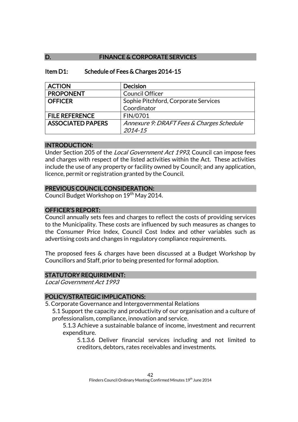## D. FINANCE & CORPORATE SERVICES

### Item D1: Schedule of Fees & Charges 2014-15

| <b>ACTION</b>            | <b>Decision</b>                           |
|--------------------------|-------------------------------------------|
| <b>PROPONENT</b>         | <b>Council Officer</b>                    |
| <b>OFFICER</b>           | Sophie Pitchford, Corporate Services      |
|                          | Coordinator                               |
| <b>FILE REFERENCE</b>    | FIN/0701                                  |
| <b>ASSOCIATED PAPERS</b> | Annexure 9: DRAFT Fees & Charges Schedule |
|                          | 2014-15                                   |

### INTRODUCTION:

Under Section 205 of the Local Government Act 1993, Council can impose fees and charges with respect of the listed activities within the Act. These activities include the use of any property or facility owned by Council; and any application, licence, permit or registration granted by the Council.

## PREVIOUS COUNCIL CONSIDERATION:

Council Budget Workshop on 19<sup>th</sup> May 2014.

### OFFICER'S REPORT:

Council annually sets fees and charges to reflect the costs of providing services to the Municipality. These costs are influenced by such measures as changes to the Consumer Price Index, Council Cost Index and other variables such as advertising costs and changes in regulatory compliance requirements.

The proposed fees & charges have been discussed at a Budget Workshop by Councillors and Staff, prior to being presented for formal adoption.

## STATUTORY REQUIREMENT:

Local Government Act 1993

## POLICY/STRATEGIC IMPLICATIONS:

5. Corporate Governance and Intergovernmental Relations

5.1 Support the capacity and productivity of our organisation and a culture of professionalism, compliance, innovation and service.

5.1.3 Achieve a sustainable balance of income, investment and recurrent expenditure.

5.1.3.6 Deliver financial services including and not limited to creditors, debtors, rates receivables and investments.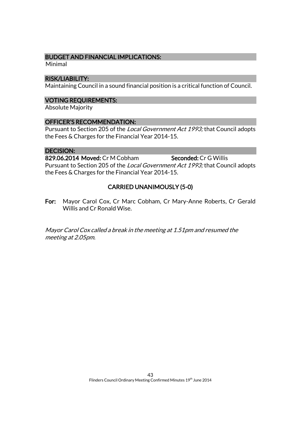### BUDGET AND FINANCIAL IMPLICATIONS:

Minimal

### RISK/LIABILITY:

Maintaining Council in a sound financial position is a critical function of Council.

### VOTING REQUIREMENTS:

Absolute Majority

### OFFICER'S RECOMMENDATION:

Pursuant to Section 205 of the Local Government Act 1993; that Council adopts the Fees & Charges for the Financial Year 2014-15.

### DECISION:

829.06.2014 Moved: Cr M Cobham Seconded: Cr G Willis Pursuant to Section 205 of the Local Government Act 1993; that Council adopts the Fees & Charges for the Financial Year 2014-15.

## CARRIED UNANIMOUSLY (5-0)

For: Mayor Carol Cox, Cr Marc Cobham, Cr Mary-Anne Roberts, Cr Gerald Willis and Cr Ronald Wise.

Mayor Carol Cox called a break in the meeting at 1.51pm and resumed the meeting at 2.05pm.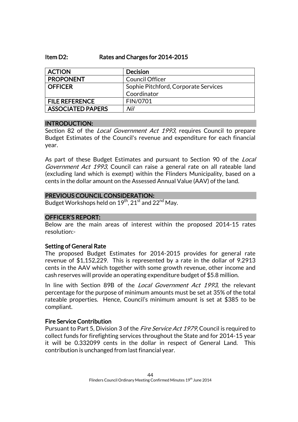### Item D2: Rates and Charges for 2014-2015

| <b>ACTION</b>            | <b>Decision</b>                      |
|--------------------------|--------------------------------------|
| <b>PROPONENT</b>         | <b>Council Officer</b>               |
| <b>OFFICER</b>           | Sophie Pitchford, Corporate Services |
|                          | Coordinator                          |
| <b>FILE REFERENCE</b>    | FIN/0701                             |
| <b>ASSOCIATED PAPERS</b> | Nil                                  |

### INTRODUCTION:

Section 82 of the *Local Government Act 1993*, requires Council to prepare Budget Estimates of the Council's revenue and expenditure for each financial year.

As part of these Budget Estimates and pursuant to Section 90 of the *Local* Government Act 1993, Council can raise a general rate on all rateable land (excluding land which is exempt) within the Flinders Municipality, based on a cents in the dollar amount on the Assessed Annual Value (AAV) of the land.

### PREVIOUS COUNCIL CONSIDERATION:

Budget Workshops held on  $19^{\sf th}$ ,  $21^{\sf st}$  and  $22^{\sf nd}$  May.

### OFFICER'S REPORT:

Below are the main areas of interest within the proposed 2014-15 rates resolution:-

### Setting of General Rate

The proposed Budget Estimates for 2014-2015 provides for general rate revenue of \$1,152,229. This is represented by a rate in the dollar of 9.2913 cents in the AAV which together with some growth revenue, other income and cash reserves will provide an operating expenditure budget of \$5.8 million.

In line with Section 89B of the *Local Government Act 1993*, the relevant percentage for the purpose of minimum amounts must be set at 35% of the total rateable properties. Hence, Council's minimum amount is set at \$385 to be compliant.

### Fire Service Contribution

Pursuant to Part 5, Division 3 of the *Fire Service Act 1979*, Council is required to collect funds for firefighting services throughout the State and for 2014-15 year it will be 0.332099 cents in the dollar in respect of General Land. This contribution is unchanged from last financial year.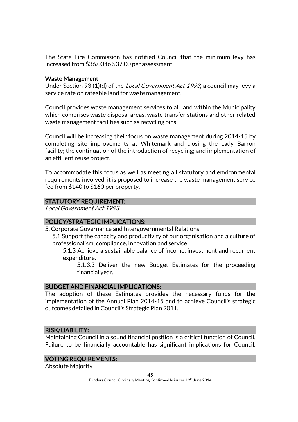The State Fire Commission has notified Council that the minimum levy has increased from \$36.00 to \$37.00 per assessment.

### Waste Management

Under Section 93 (1)(d) of the Local Government Act 1993, a council may levy a service rate on rateable land for waste management.

Council provides waste management services to all land within the Municipality which comprises waste disposal areas, waste transfer stations and other related waste management facilities such as recycling bins.

Council will be increasing their focus on waste management during 2014-15 by completing site improvements at Whitemark and closing the Lady Barron facility; the continuation of the introduction of recycling; and implementation of an effluent reuse project.

To accommodate this focus as well as meeting all statutory and environmental requirements involved, it is proposed to increase the waste management service fee from \$140 to \$160 per property.

### STATUTORY REQUIREMENT:

Local Government Act 1993

### POLICY/STRATEGIC IMPLICATIONS:

5. Corporate Governance and Intergovernmental Relations

5.1 Support the capacity and productivity of our organisation and a culture of professionalism, compliance, innovation and service.

5.1.3 Achieve a sustainable balance of income, investment and recurrent expenditure.

5.1.3.3 Deliver the new Budget Estimates for the proceeding financial year.

### BUDGET AND FINANCIAL IMPLICATIONS:

The adoption of these Estimates provides the necessary funds for the implementation of the Annual Plan 2014-15 and to achieve Council's strategic outcomes detailed in Council's Strategic Plan 2011.

### RISK/LIABILITY:

Maintaining Council in a sound financial position is a critical function of Council. Failure to be financially accountable has significant implications for Council.

### VOTING REQUIREMENTS:

Absolute Majority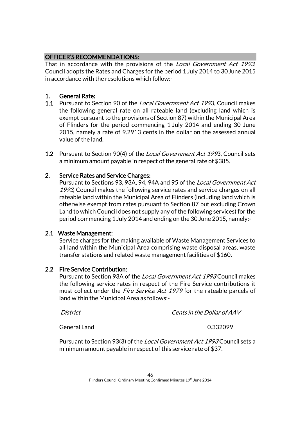## OFFICER'S RECOMMENDATIONS:

That in accordance with the provisions of the Local Government Act 1993, Council adopts the Rates and Charges for the period 1 July 2014 to 30June 2015 in accordance with the resolutions which follow:-

## 1. General Rate:

- **1.1** Pursuant to Section 90 of the *Local Government Act 199*3, Council makes the following general rate on all rateable land (excluding land which is exempt pursuant to the provisions of Section 87) within the Municipal Area of Flinders for the period commencing 1 July 2014 and ending 30 June 2015, namely a rate of 9.2913 cents in the dollar on the assessed annual value of the land.
- 1.2 Pursuant to Section 90(4) of the Local Government Act 1993, Council sets a minimum amount payable in respect of the general rate of \$385.

## 2. Service Rates and Service Charges:

Pursuant to Sections 93, 93A, 94, 94A and 95 of the Local Government Act 1993, Council makes the following service rates and service charges on all rateable land within the Municipal Area of Flinders (including land which is otherwise exempt from rates pursuant to Section 87 but excluding Crown Land to which Council does not supply any of the following services) for the period commencing 1July 2014 and ending on the 30June 2015, namely:-

## 2.1 Waste Management:

Service charges for the making available of Waste Management Services to all land within the Municipal Area comprising waste disposal areas, waste transfer stations and related waste management facilities of \$160.

## 2.2 Fire Service Contribution:

Pursuant to Section 93A of the Local Government Act 1993 Council makes the following service rates in respect of the Fire Service contributions it must collect under the *Fire Service Act 1979* for the rateable parcels of land within the Municipal Area as follows:-

District Cents in the Dollar of AAV

General Land 0.332099

Pursuant to Section 93(3) of the Local Government Act 1993 Council sets a minimum amount payable in respect of this service rate of \$37.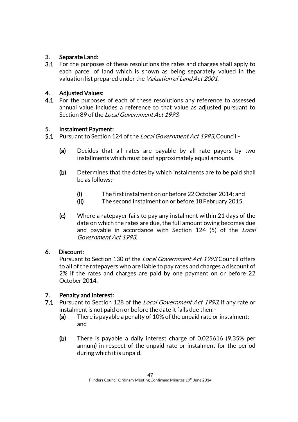## 3. Separate Land:

3.1 For the purposes of these resolutions the rates and charges shall apply to each parcel of land which is shown as being separately valued in the valuation list prepared under the Valuation of Land Act 2001.

## 4. Adjusted Values:

**4.1.** For the purposes of each of these resolutions any reference to assessed annual value includes a reference to that value as adjusted pursuant to Section 89 of the Local Government Act 1993.

## 5. Instalment Payment:

- 5.1 Pursuant to Section 124 of the *Local Government Act 1993*, Council:-
	- (a) Decides that all rates are payable by all rate payers by two installments which must be of approximately equal amounts.
	- (b) Determines that the dates by which instalments are to be paid shall be as follows:-
		- (i) The first instalment on or before 22October 2014; and
		- (ii) The second instalment on or before 18February 2015.
	- (c) Where a ratepayer fails to pay any instalment within 21 days of the date on which the rates are due, the full amount owing becomes due and payable in accordance with Section 124 (5) of the Local Government Act 1993.

## 6. Discount:

Pursuant to Section 130 of the Local Government Act 1993 Council offers to all of the ratepayers who are liable to pay rates and charges a discount of 2% if the rates and charges are paid by one payment on or before 22 October 2014.

## 7. Penalty and Interest:

- 7.1 Pursuant to Section 128 of the Local Government Act 1993, if any rate or instalment is not paid on or before the date it falls due then:-
	- (a) There is payable a penalty of 10% of the unpaid rate or instalment; and
	- (b) There is payable a daily interest charge of 0.025616 (9.35% per annum) in respect of the unpaid rate or instalment for the period during which it is unpaid.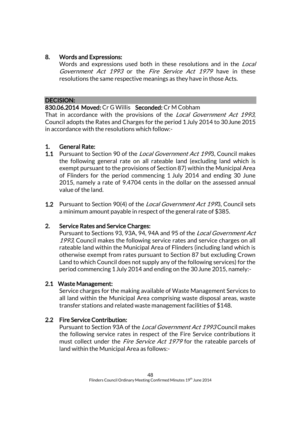## 8. Words and Expressions:

Words and expressions used both in these resolutions and in the *Local* Government Act 1993 or the Fire Service Act 1979 have in these resolutions the same respective meanings as they have in those Acts.

### DECISION:

### 830.06.2014 Moved: Cr G Willis Seconded: Cr M Cobham

That in accordance with the provisions of the Local Government Act 1993, Council adopts the Rates and Charges for the period 1July 2014 to 30June 2015 in accordance with the resolutions which follow:-

### 1. General Rate:

- 1.1 Pursuant to Section 90 of the Local Government Act 1993, Council makes the following general rate on all rateable land (excluding land which is exempt pursuant to the provisions of Section 87) within the Municipal Area of Flinders for the period commencing 1 July 2014 and ending 30 June 2015, namely a rate of 9.4704 cents in the dollar on the assessed annual value of the land.
- **1.2** Pursuant to Section 90(4) of the *Local Government Act 199*3, Council sets a minimum amount payable in respect of the general rate of \$385.

### 2. Service Rates and Service Charges:

Pursuant to Sections 93, 93A, 94, 94A and 95 of the Local Government Act 1993, Council makes the following service rates and service charges on all rateable land within the Municipal Area of Flinders (including land which is otherwise exempt from rates pursuant to Section 87 but excluding Crown Land to which Council does not supply any of the following services) for the period commencing 1July 2014 and ending on the 30June 2015, namely:-

### 2.1 Waste Management:

Service charges for the making available of Waste Management Services to all land within the Municipal Area comprising waste disposal areas, waste transfer stations and related waste management facilities of \$148.

## 2.2 Fire Service Contribution:

Pursuant to Section 93A of the Local Government Act 1993 Council makes the following service rates in respect of the Fire Service contributions it must collect under the *Fire Service Act 1979* for the rateable parcels of land within the Municipal Area as follows:-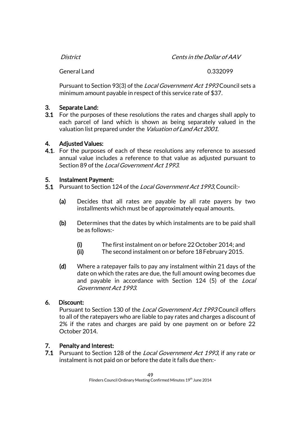| District | Cents in the Dollar of AAV |
|----------|----------------------------|
|          |                            |

General Land 0.332099

Pursuant to Section 93(3) of the Local Government Act 1993 Council sets a minimum amount payable in respect of this service rate of \$37.

## 3. Separate Land:

3.1 For the purposes of these resolutions the rates and charges shall apply to each parcel of land which is shown as being separately valued in the valuation list prepared under the Valuation of Land Act 2001.

## 4. Adjusted Values:

4.1. For the purposes of each of these resolutions any reference to assessed annual value includes a reference to that value as adjusted pursuant to Section 89 of the Local Government Act 1993.

## 5. Instalment Payment:

- 5.1 Pursuant to Section 124 of the Local Government Act 1993, Council:-
	- (a) Decides that all rates are payable by all rate payers by two installments which must be of approximately equal amounts.
	- (b) Determines that the dates by which instalments are to be paid shall be as follows:-
		- (i) The first instalment on or before 22October 2014; and
		- (ii) The second instalment on or before 18February 2015.
	- (d) Where a ratepayer fails to pay any instalment within 21 days of the date on which the rates are due, the full amount owing becomes due and payable in accordance with Section 124 (5) of the Local Government Act 1993.

## 6. Discount:

Pursuant to Section 130 of the Local Government Act 1993 Council offers to all of the ratepayers who are liable to pay rates and charges a discount of 2% if the rates and charges are paid by one payment on or before 22 October 2014.

## 7. Penalty and Interest:

7.1 Pursuant to Section 128 of the Local Government Act 1993, if any rate or instalment is not paid on or before the date it falls due then:-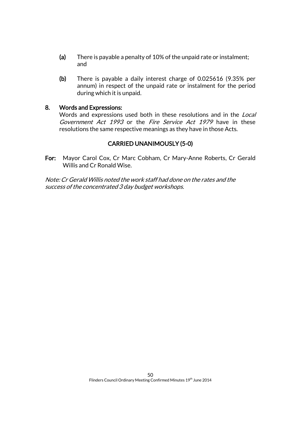- (a) There is payable a penalty of 10% of the unpaid rate or instalment; and
- (b) There is payable a daily interest charge of 0.025616 (9.35% per annum) in respect of the unpaid rate or instalment for the period during which it is unpaid.

### 8. Words and Expressions:

Words and expressions used both in these resolutions and in the *Local* Government Act 1993 or the Fire Service Act 1979 have in these resolutions the same respective meanings as they have in those Acts.

## CARRIED UNANIMOUSLY (5-0)

For: Mayor Carol Cox, Cr Marc Cobham, Cr Mary-Anne Roberts, Cr Gerald Willis and Cr Ronald Wise.

Note: Cr Gerald Willis noted the work staff had done on the rates and the success of the concentrated 3 day budget workshops.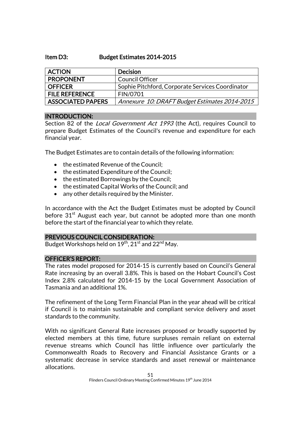### Item D3: Budget Estimates 2014-2015

| <b>ACTION</b>            | <b>Decision</b>                                  |
|--------------------------|--------------------------------------------------|
| <b>PROPONENT</b>         | <b>Council Officer</b>                           |
| <b>OFFICER</b>           | Sophie Pitchford, Corporate Services Coordinator |
| <b>FILE REFERENCE</b>    | FIN/0701                                         |
| <b>ASSOCIATED PAPERS</b> | Annexure 10: DRAFT Budget Estimates 2014-2015    |

### INTRODUCTION:

Section 82 of the *Local Government Act 1993* (the Act), requires Council to prepare Budget Estimates of the Council's revenue and expenditure for each financial year.

The Budget Estimates are to contain details of the following information:

- the estimated Revenue of the Council:
- the estimated Expenditure of the Council;
- the estimated Borrowings by the Council;
- the estimated Capital Works of the Council; and
- any other details required by the Minister.

In accordance with the Act the Budget Estimates must be adopted by Council before  $31<sup>st</sup>$  August each year, but cannot be adopted more than one month before the start of the financial year to which they relate.

### PREVIOUS COUNCIL CONSIDERATION:

Budget Workshops held on  $19^{\text{th}}$ ,  $21^{\text{st}}$  and  $22^{\text{nd}}$  May.

### OFFICER'S REPORT:

The rates model proposed for 2014-15 is currently based on Council's General Rate increasing by an overall 3.8%. This is based on the Hobart Council's Cost Index 2.8% calculated for 2014-15 by the Local Government Association of Tasmania and an additional 1%.

The refinement of the Long Term Financial Plan in the year ahead will be critical if Council is to maintain sustainable and compliant service delivery and asset standards to the community.

With no significant General Rate increases proposed or broadly supported by elected members at this time, future surpluses remain reliant on external revenue streams which Council has little influence over particularly the Commonwealth Roads to Recovery and Financial Assistance Grants or a systematic decrease in service standards and asset renewal or maintenance allocations.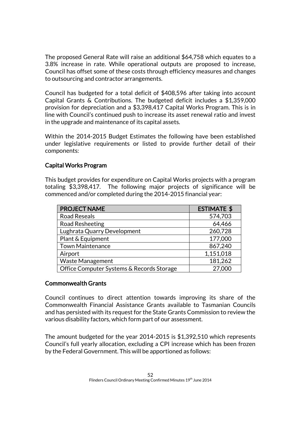The proposed General Rate will raise an additional \$64,758 which equates to a 3.8% increase in rate. While operational outputs are proposed to increase, Council has offset some of these costs through efficiency measures and changes to outsourcing and contractor arrangements.

Council has budgeted for a total deficit of \$408,596 after taking into account Capital Grants & Contributions. The budgeted deficit includes a \$1,359,000 provision for depreciation and a \$3,398,417 Capital Works Program. This is in line with Council's continued push to increase its asset renewal ratio and invest in the upgrade and maintenance of its capital assets.

Within the 2014-2015 Budget Estimates the following have been established under legislative requirements or listed to provide further detail of their components:

## Capital Works Program

This budget provides for expenditure on Capital Works projects with a program totaling \$3,398,417. The following major projects of significance will be commenced and/or completed during the 2014-2015 financial year:

| <b>PROJECT NAME</b>                       | <b>ESTIMATE \$</b> |
|-------------------------------------------|--------------------|
| <b>Road Reseals</b>                       | 574,703            |
| Road Resheeting                           | 64,466             |
| Lughrata Quarry Development               | 260,728            |
| Plant & Equipment                         | 177,000            |
| <b>Town Maintenance</b>                   | 867,240            |
| Airport                                   | 1,151,018          |
| <b>Waste Management</b>                   | 181,262            |
| Office Computer Systems & Records Storage | 27,000             |

### Commonwealth Grants

Council continues to direct attention towards improving its share of the Commonwealth Financial Assistance Grants available to Tasmanian Councils and has persisted with its request for the State Grants Commission to review the various disability factors, which form part of our assessment.

The amount budgeted for the year 2014-2015 is \$1,392,510 which represents Council's full yearly allocation, excluding a CPI increase which has been frozen by the Federal Government. This will be apportioned as follows: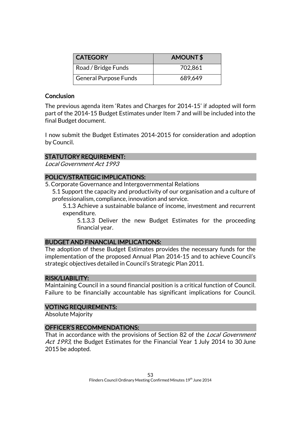| <b>CATEGORY</b>              | <b>AMOUNT\$</b> |
|------------------------------|-----------------|
| Road / Bridge Funds          | 702,861         |
| <b>General Purpose Funds</b> | 689,649         |

## **Conclusion**

The previous agenda item 'Rates and Charges for 2014-15' if adopted will form part of the 2014-15 Budget Estimates under Item 7 and will be included into the final Budget document.

I now submit the Budget Estimates 2014-2015 for consideration and adoption by Council.

## STATUTORY REQUIREMENT:

Local Government Act 1993

## POLICY/STRATEGIC IMPLICATIONS:

5. Corporate Governance and Intergovernmental Relations

5.1 Support the capacity and productivity of our organisation and a culture of professionalism, compliance, innovation and service.

5.1.3 Achieve a sustainable balance of income, investment and recurrent expenditure.

5.1.3.3 Deliver the new Budget Estimates for the proceeding financial year.

## BUDGET AND FINANCIAL IMPLICATIONS:

The adoption of these Budget Estimates provides the necessary funds for the implementation of the proposed Annual Plan 2014-15 and to achieve Council's strategic objectives detailed in Council's Strategic Plan 2011.

### RISK/LIABILITY:

Maintaining Council in a sound financial position is a critical function of Council. Failure to be financially accountable has significant implications for Council.

### VOTING REQUIREMENTS:

Absolute Majority

## OFFICER'S RECOMMENDATIONS:

That in accordance with the provisions of Section 82 of the *Local Government* Act 1993, the Budget Estimates for the Financial Year 1 July 2014 to 30 June 2015 be adopted.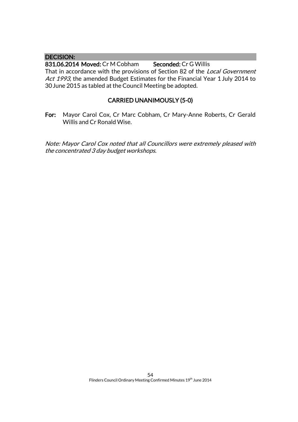### DECISION:

831.06.2014 Moved: Cr M Cobham Seconded: Cr G Willis That in accordance with the provisions of Section 82 of the *Local Government* Act 1993, the amended Budget Estimates for the Financial Year 1 July 2014 to 30June 2015 as tabled at the Council Meeting be adopted.

## CARRIED UNANIMOUSLY (5-0)

For: Mayor Carol Cox, Cr Marc Cobham, Cr Mary-Anne Roberts, Cr Gerald Willis and Cr Ronald Wise.

Note: Mayor Carol Cox noted that all Councillors were extremely pleased with the concentrated 3 day budget workshops.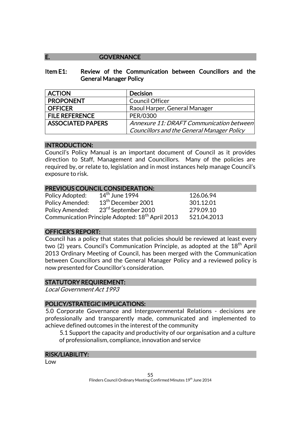### E. GOVERNANCE

### Item E1: Review of the Communication between Councillors and the General Manager Policy

| <b>ACTION</b>            | <b>Decision</b>                            |
|--------------------------|--------------------------------------------|
| <b>PROPONENT</b>         | <b>Council Officer</b>                     |
| <b>OFFICER</b>           | Raoul Harper, General Manager              |
| <b>FILE REFERENCE</b>    | PER/0300                                   |
| <b>ASSOCIATED PAPERS</b> | Annexure 11: DRAFT Communication between   |
|                          | Councillors and the General Manager Policy |

### INTRODUCTION:

Council's Policy Manual is an important document of Council as it provides direction to Staff, Management and Councillors. Many of the policies are required by, or relate to, legislation and in most instances help manage Council's exposure to risk.

### PREVIOUS COUNCIL CONSIDERATION:

| Policy Adopted:                                                             | $14th$ June 1994                | 126.06.94 |
|-----------------------------------------------------------------------------|---------------------------------|-----------|
| Policy Amended:                                                             | $13th$ December 2001            | 301.12.01 |
| Policy Amended:                                                             | 23 <sup>rd</sup> September 2010 | 279.09.10 |
| Communication Principle Adopted: 18 <sup>th</sup> April 2013<br>521.04.2013 |                                 |           |

### OFFICER'S REPORT:

Council has a policy that states that policies should be reviewed at least every two (2) years. Council's Communication Principle, as adopted at the 18<sup>th</sup> April 2013 Ordinary Meeting of Council, has been merged with the Communication between Councillors and the General Manager Policy and a reviewed policy is now presented for Councillor's consideration.

### STATUTORY REQUIREMENT:

Local Government Act 1993

### POLICY/STRATEGIC IMPLICATIONS:

5.0 Corporate Governance and Intergovernmental Relations - decisions are professionally and transparently made, communicated and implemented to achieve defined outcomes in the interest of the community

5.1 Support the capacity and productivity of our organisation and a culture of professionalism, compliance, innovation and service

### RISK/LIABILITY:

Low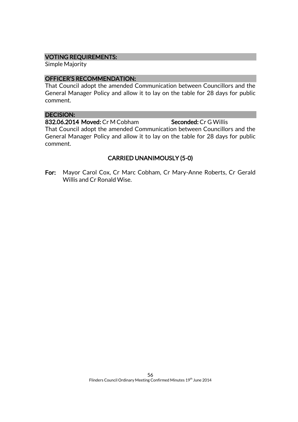### VOTING REQUIREMENTS:

Simple Majority

### OFFICER'S RECOMMENDATION:

That Council adopt the amended Communication between Councillors and the General Manager Policy and allow it to lay on the table for 28 days for public comment.

## DECISION:

832.06.2014 Moved: Cr M Cobham Seconded: Cr G Willis

That Council adopt the amended Communication between Councillors and the General Manager Policy and allow it to lay on the table for 28 days for public comment.

## CARRIED UNANIMOUSLY (5-0)

For: Mayor Carol Cox, Cr Marc Cobham, Cr Mary-Anne Roberts, Cr Gerald Willis and Cr Ronald Wise.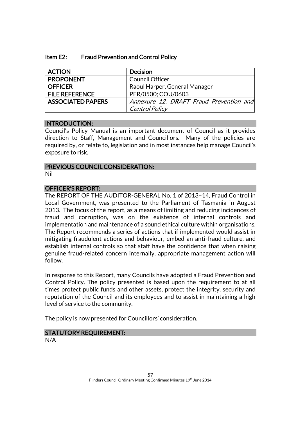| Item E2: | <b>Fraud Prevention and Control Policy</b> |
|----------|--------------------------------------------|
|----------|--------------------------------------------|

| <b>ACTION</b>            | <b>Decision</b>                         |
|--------------------------|-----------------------------------------|
| <b>PROPONENT</b>         | <b>Council Officer</b>                  |
| <b>OFFICER</b>           | Raoul Harper, General Manager           |
| <b>FILE REFERENCE</b>    | PER/0500; COU/0603                      |
| <b>ASSOCIATED PAPERS</b> | Annexure 12: DRAFT Fraud Prevention and |
|                          | <b>Control Policy</b>                   |

### INTRODUCTION:

Council's Policy Manual is an important document of Council as it provides direction to Staff, Management and Councillors. Many of the policies are required by, or relate to, legislation and in most instances help manage Council's exposure to risk.

### PREVIOUS COUNCIL CONSIDERATION:

Nil

## OFFICER'S REPORT:

The REPORT OF THE AUDITOR-GENERAL No. 1 of 2013–14, Fraud Control in Local Government, was presented to the Parliament of Tasmania in August 2013. The focus of the report, as a means of limiting and reducing incidences of fraud and corruption, was on the existence of internal controls and implementation and maintenance of a sound ethical culture within organisations. The Report recommends a series of actions that if implemented would assist in mitigating fraudulent actions and behaviour, embed an anti-fraud culture, and establish internal controls so that staff have the confidence that when raising genuine fraud-related concern internally, appropriate management action will follow.

In response to this Report, many Councils have adopted a Fraud Prevention and Control Policy. The policy presented is based upon the requirement to at all times protect public funds and other assets, protect the integrity, security and reputation of the Council and its employees and to assist in maintaining a high level of service to the community.

The policy is now presented for Councillors' consideration.

## STATUTORY REQUIREMENT:

N/A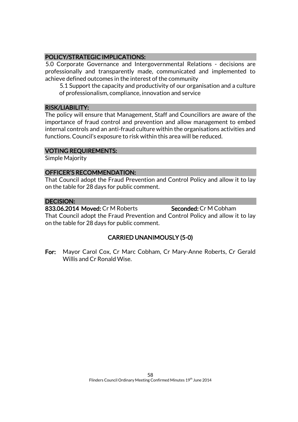## POLICY/STRATEGIC IMPLICATIONS:

5.0 Corporate Governance and Intergovernmental Relations - decisions are professionally and transparently made, communicated and implemented to achieve defined outcomes in the interest of the community

5.1 Support the capacity and productivity of our organisation and a culture of professionalism, compliance, innovation and service

### RISK/LIABILITY:

The policy will ensure that Management, Staff and Councillors are aware of the importance of fraud control and prevention and allow management to embed internal controls and an anti-fraud culture within the organisations activities and functions. Council's exposure to risk within this area will be reduced.

### VOTING REQUIREMENTS:

Simple Majority

### OFFICER'S RECOMMENDATION:

That Council adopt the Fraud Prevention and Control Policy and allow it to lay on the table for 28 days for public comment.

### DECISION:

833.06.2014 Moved: Cr M Roberts Seconded: Cr M Cobham That Council adopt the Fraud Prevention and Control Policy and allow it to lay on the table for 28 days for public comment.

## CARRIED UNANIMOUSLY (5-0)

For: Mayor Carol Cox, Cr Marc Cobham, Cr Mary-Anne Roberts, Cr Gerald Willis and Cr Ronald Wise.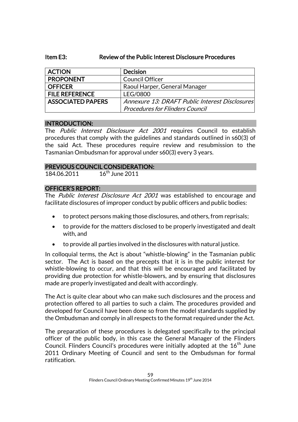### Item E3: Review of the Public Interest Disclosure Procedures

| <b>ACTION</b>            | <b>Decision</b>                                |
|--------------------------|------------------------------------------------|
| <b>PROPONENT</b>         | Council Officer                                |
| <b>OFFICER</b>           | Raoul Harper, General Manager                  |
| <b>FILE REFERENCE</b>    | <b>LEG/0800</b>                                |
| <b>ASSOCIATED PAPERS</b> | Annexure 13: DRAFT Public Interest Disclosures |
|                          | <b>Procedures for Flinders Council</b>         |

### INTRODUCTION:

The Public Interest Disclosure Act 2001 requires Council to establish procedures that comply with the guidelines and standards outlined in s60(3) of the said Act. These procedures require review and resubmission to the Tasmanian Ombudsman for approval under s60(3) every 3 years.

### PREVIOUS COUNCIL CONSIDERATION:

184.06.2011 16<sup>th</sup> June 2011

### OFFICER'S REPORT:

The Public Interest Disclosure Act 2001 was established to encourage and facilitate disclosures of improper conduct by public officers and public bodies:

- to protect persons making those disclosures, and others, from reprisals;
- to provide for the matters disclosed to be properly investigated and dealt with, and
- to provide all parties involved in the disclosures with natural justice.

In colloquial terms, the Act is about "whistle-blowing" in the Tasmanian public sector. The Act is based on the precepts that it is in the public interest for whistle-blowing to occur, and that this will be encouraged and facilitated by providing due protection for whistle-blowers, and by ensuring that disclosures made are properly investigated and dealt with accordingly.

The Act is quite clear about who can make such disclosures and the process and protection offered to all parties to such a claim. The procedures provided and developed for Council have been done so from the model standards supplied by the Ombudsman and comply in all respects to the format required under the Act.

The preparation of these procedures is delegated specifically to the principal officer of the public body, in this case the General Manager of the Flinders Council. Flinders Council's procedures were initially adopted at the  $16<sup>th</sup>$  June 2011 Ordinary Meeting of Council and sent to the Ombudsman for formal ratification.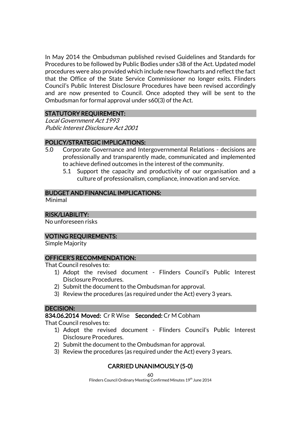In May 2014 the Ombudsman published revised Guidelines and Standards for Procedures to be followed by Public Bodies under s38 of the Act. Updated model procedures were also provided which include new flowcharts and reflect the fact that the Office of the State Service Commissioner no longer exits. Flinders Council's Public Interest Disclosure Procedures have been revised accordingly and are now presented to Council. Once adopted they will be sent to the Ombudsman for formal approval under s60(3) of the Act.

### STATUTORY REQUIREMENT:

Local Government Act 1993 Public Interest Disclosure Act 2001

## POLICY/STRATEGIC IMPLICATIONS:

- 5.0 Corporate Governance and Intergovernmental Relations decisions are professionally and transparently made, communicated and implemented to achieve defined outcomes in the interest of the community.
	- 5.1 Support the capacity and productivity of our organisation and a culture of professionalism, compliance, innovation and service.

### BUDGET AND FINANCIAL IMPLICATIONS:

Minimal

## RISK/LIABILITY:

No unforeseen risks

## VOTING REQUIREMENTS:

Simple Majority

### OFFICER'S RECOMMENDATION:

That Council resolves to:

- 1) Adopt the revised document Flinders Council's Public Interest Disclosure Procedures.
- 2) Submit the document to the Ombudsman for approval.
- 3) Review the procedures (as required under the Act) every 3 years.

## DECISION:

834.06.2014 Moved: Cr R Wise Seconded: Cr M Cobham

That Council resolves to:

- 1) Adopt the revised document Flinders Council's Public Interest Disclosure Procedures.
- 2) Submit the document to the Ombudsman for approval.
- 3) Review the procedures (as required under the Act) every 3 years.

## CARRIED UNANIMOUSLY (5-0)

60 Flinders Council Ordinary Meeting Confirmed Minutes 19<sup>th</sup> June 2014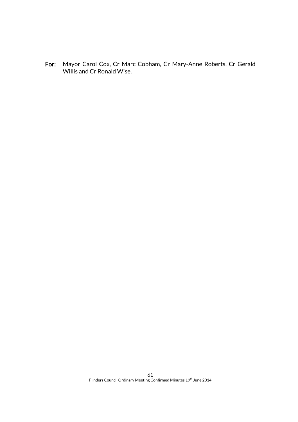For: Mayor Carol Cox, Cr Marc Cobham, Cr Mary-Anne Roberts, Cr Gerald Willis and Cr Ronald Wise.